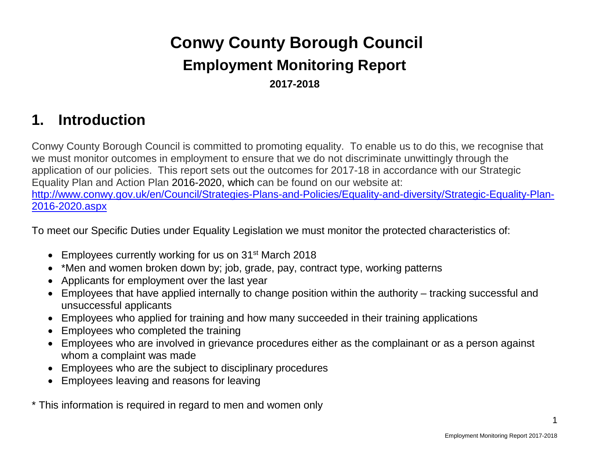# **Conwy County Borough Council Employment Monitoring Report 2017-2018**

# **1. Introduction**

Conwy County Borough Council is committed to promoting equality. To enable us to do this, we recognise that we must monitor outcomes in employment to ensure that we do not discriminate unwittingly through the application of our policies. This report sets out the outcomes for 2017-18 in accordance with our Strategic Equality Plan and Action Plan 2016-2020, which can be found on our website at: [http://www.conwy.gov.uk/en/Council/Strategies-Plans-and-Policies/Equality-and-diversity/Strategic-Equality-Plan-](http://www.conwy.gov.uk/en/Council/Strategies-Plans-and-Policies/Equality-and-diversity/Strategic-Equality-Plan-2016-2020.aspx)[2016-2020.aspx](http://www.conwy.gov.uk/en/Council/Strategies-Plans-and-Policies/Equality-and-diversity/Strategic-Equality-Plan-2016-2020.aspx)

To meet our Specific Duties under Equality Legislation we must monitor the protected characteristics of:

- Employees currently working for us on 31<sup>st</sup> March 2018
- \*Men and women broken down by; job, grade, pay, contract type, working patterns
- Applicants for employment over the last year
- Employees that have applied internally to change position within the authority tracking successful and unsuccessful applicants
- Employees who applied for training and how many succeeded in their training applications
- Employees who completed the training
- Employees who are involved in grievance procedures either as the complainant or as a person against whom a complaint was made
- Employees who are the subject to disciplinary procedures
- Employees leaving and reasons for leaving

\* This information is required in regard to men and women only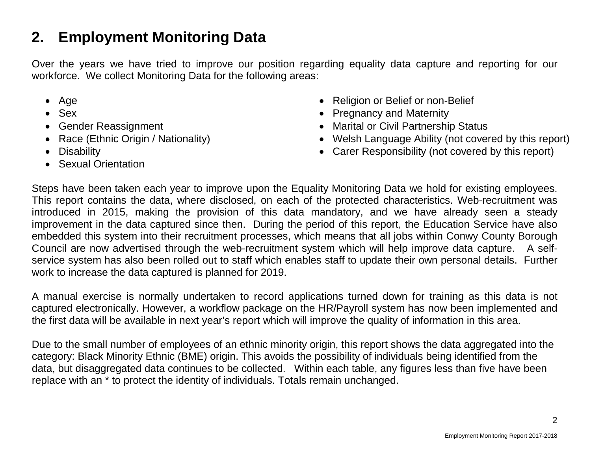# **2. Employment Monitoring Data**

Over the years we have tried to improve our position regarding equality data capture and reporting for our workforce. We collect Monitoring Data for the following areas:

- Age
- Sex
- Gender Reassignment
- Race (Ethnic Origin / Nationality)
- Disability
- Sexual Orientation
- Religion or Belief or non-Belief
- Pregnancy and Maternity
- Marital or Civil Partnership Status
- Welsh Language Ability (not covered by this report)
- Carer Responsibility (not covered by this report)

Steps have been taken each year to improve upon the Equality Monitoring Data we hold for existing employees. This report contains the data, where disclosed, on each of the protected characteristics. Web-recruitment was introduced in 2015, making the provision of this data mandatory, and we have already seen a steady improvement in the data captured since then. During the period of this report, the Education Service have also embedded this system into their recruitment processes, which means that all jobs within Conwy County Borough Council are now advertised through the web-recruitment system which will help improve data capture. A selfservice system has also been rolled out to staff which enables staff to update their own personal details. Further work to increase the data captured is planned for 2019.

A manual exercise is normally undertaken to record applications turned down for training as this data is not captured electronically. However, a workflow package on the HR/Payroll system has now been implemented and the first data will be available in next year's report which will improve the quality of information in this area.

Due to the small number of employees of an ethnic minority origin, this report shows the data aggregated into the category: Black Minority Ethnic (BME) origin. This avoids the possibility of individuals being identified from the data, but disaggregated data continues to be collected. Within each table, any figures less than five have been replace with an \* to protect the identity of individuals. Totals remain unchanged.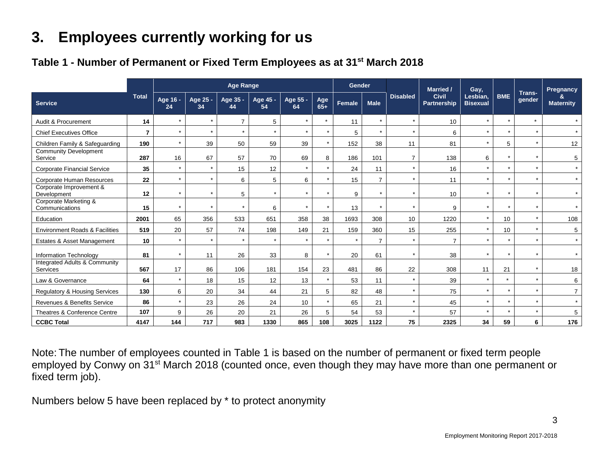# **3. Employees currently working for us**

#### **Table 1 - Number of Permanent or Fixed Term Employees as at 31st March 2018**

|                                                      |                |                |                | <b>Age Range</b> |                |                |              | <b>Gender</b> |                |                 | <b>Married /</b>                   | Gay,                        |            |                      | Pregnancy             |
|------------------------------------------------------|----------------|----------------|----------------|------------------|----------------|----------------|--------------|---------------|----------------|-----------------|------------------------------------|-----------------------------|------------|----------------------|-----------------------|
| <b>Service</b>                                       | <b>Total</b>   | Age 16 -<br>24 | Age 25 -<br>34 | Age 35 -<br>44   | Age 45 -<br>54 | Age 55 -<br>64 | Age<br>$65+$ | Female        | <b>Male</b>    | <b>Disabled</b> | <b>Civil</b><br><b>Partnership</b> | Lesbian.<br><b>Bisexual</b> | <b>BME</b> | Trans-<br>gender     | &<br><b>Maternity</b> |
| Audit & Procurement                                  | 14             | $\star$        | $\star$        | $\overline{7}$   | 5              | $\star$        | $\star$      | 11            | $\star$        | $\star$         | 10                                 | $\star$                     | $\star$    | $\star$              | $\star$               |
| <b>Chief Executives Office</b>                       | $\overline{7}$ | $\star$        | $\star$        | $\star$          |                | $\star$        | $\star$      | 5             | $\star$        | $\star$         | 6                                  | $\star$                     | $\star$    | $\star$              | $\star$               |
| Children Family & Safeguarding                       | 190            | $\star$        | 39             | 50               | 59             | 39             | $\star$      | 152           | 38             | 11              | 81                                 | $\star$                     | 5          | $\star$              | 12                    |
| <b>Community Development</b><br>Service              | 287            | 16             | 67             | 57               | 70             | 69             | 8            | 186           | 101            | $\overline{7}$  | 138                                | 6                           | $\star$    | $\ddot{\phantom{1}}$ | 5                     |
| <b>Corporate Financial Service</b>                   | 35             | $\star$        | $\star$        | 15               | 12             | $\star$        | $\star$      | 24            | 11             | $\star$         | 16                                 | $\star$                     | $\star$    | $\star$              | $\star$               |
| <b>Corporate Human Resources</b>                     | 22             | $\star$        | $\star$        | 6                | 5              | 6              | $\star$      | 15            | $\overline{7}$ | $\star$         | 11                                 | $\star$                     | $\star$    | $\ddot{\phantom{1}}$ | $\star$               |
| Corporate Improvement &<br>Development               | 12             | $\star$        |                | 5                |                | $\star$        | $\star$      | 9             |                | $\star$         | 10                                 |                             | $\star$    |                      | $\star$               |
| Corporate Marketing &<br>Communications              | 15             | $\star$        |                | $\star$          | 6              | $\star$        | $\star$      | 13            |                | $\star$         | 9                                  |                             | $\star$    |                      |                       |
| Education                                            | 2001           | 65             | 356            | 533              | 651            | 358            | 38           | 1693          | 308            | 10              | 1220                               | $\star$                     | 10         | $\star$              | 108                   |
| <b>Environment Roads &amp; Facilities</b>            | 519            | 20             | 57             | 74               | 198            | 149            | 21           | 159           | 360            | 15              | 255                                | $\star$                     | 10         | $\star$              | 5                     |
| Estates & Asset Management                           | 10             | $\star$        | $\star$        | $\star$          | $\star$        | $\star$        | $\star$      | $\star$       | $\overline{7}$ | $\star$         | $\overline{7}$                     | $\ddot{\phantom{1}}$        | $\star$    | $\star$              | $\star$               |
| Information Technology                               | 81             | $\star$        | 11             | 26               | 33             | 8              | $\star$      | 20            | 61             | $\star$         | 38                                 | $\star$                     | $\star$    | $\star$              | $\star$               |
| <b>Integrated Adults &amp; Community</b><br>Services | 567            | 17             | 86             | 106              | 181            | 154            | 23           | 481           | 86             | 22              | 308                                | 11                          | 21         | $\star$              | 18                    |
| Law & Governance                                     | 64             | $\star$        | 18             | 15               | 12             | 13             | $\star$      | 53            | 11             | $\star$         | 39                                 | $\star$                     | $\star$    | $\star$              | 6                     |
| Regulatory & Housing Services                        | 130            | 6              | 20             | 34               | 44             | 21             | 5            | 82            | 48             | $\star$         | 75                                 | $\star$                     | $\star$    | $\star$              | 7 <sup>7</sup>        |
| Revenues & Benefits Service                          | 86             | $\star$        | 23             | 26               | 24             | 10             | $\star$      | 65            | 21             | $\star$         | 45                                 | $\star$                     | $\star$    | $\star$              | $\star$               |
| Theatres & Conference Centre                         | 107            | 9              | 26             | 20               | 21             | 26             | 5            | 54            | 53             | $\star$         | 57                                 | $\star$                     | $\star$    | $\star$              | 5                     |
| <b>CCBC Total</b>                                    | 4147           | 144            | 717            | 983              | 1330           | 865            | 108          | 3025          | 1122           | 75              | 2325                               | 34                          | 59         | 6                    | 176                   |

Note: The number of employees counted in Table 1 is based on the number of permanent or fixed term people employed by Conwy on 31<sup>st</sup> March 2018 (counted once, even though they may have more than one permanent or fixed term job).

Numbers below 5 have been replaced by \* to protect anonymity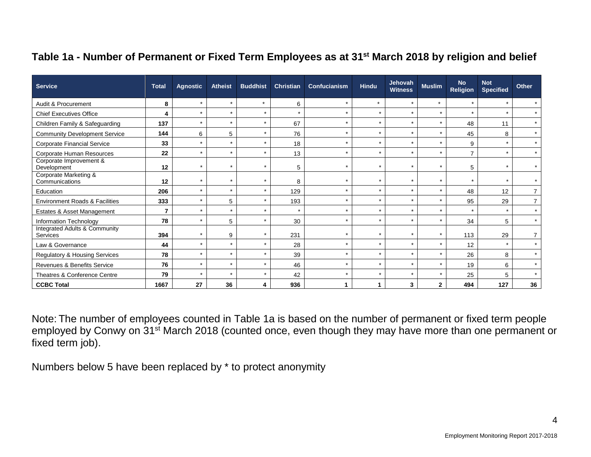#### **Table 1a - Number of Permanent or Fixed Term Employees as at 31st March 2018 by religion and belief**

| <b>Service</b>                                              | <b>Total</b>   | <b>Agnostic</b>      | <b>Atheist</b> | <b>Buddhist</b> | <b>Christian</b> | Confucianism | <b>Hindu</b> | <b>Jehovah</b><br><b>Witness</b> | <b>Muslim</b> | <b>No</b><br><b>Religion</b> | <b>Not</b><br><b>Specified</b> | Other          |
|-------------------------------------------------------------|----------------|----------------------|----------------|-----------------|------------------|--------------|--------------|----------------------------------|---------------|------------------------------|--------------------------------|----------------|
| Audit & Procurement                                         | 8              | $\star$              | $\star$        | $\star$         | 6                | $\star$      | $\star$      | $\star$                          | $\star$       | $\star$                      | $\star$                        |                |
| <b>Chief Executives Office</b>                              | 4              | $\star$              | $\star$        | $\star$         | $\star$          | $\star$      | $\star$      | $\star$                          | $\star$       |                              | $\star$                        | $\star$        |
| Children Family & Safeguarding                              | 137            | $\star$              | $\star$        | $\star$         | 67               | $\star$      | $\star$      | $\star$                          | $\star$       | 48                           | 11                             | $\star$        |
| <b>Community Development Service</b>                        | 144            | 6                    | 5              | $\star$         | 76               | $\star$      | $\star$      | $\star$                          | $\star$       | 45                           | 8                              | $\star$        |
| <b>Corporate Financial Service</b>                          | 33             | $\star$              | $\star$        | $\star$         | 18               | $\star$      | $\star$      | $\star$                          | $\star$       | 9                            | $\star$                        | $\star$        |
| Corporate Human Resources                                   | 22             | $\star$              | $\star$        | $\star$         | 13               | $\star$      | $\star$      | $\star$                          | $\star$       | $\overline{ }$               | $\star$                        | $\star$        |
| Corporate Improvement &<br>Development                      | 12             | $\star$              | $\star$        | $\star$         | 5                | $\star$      | $\star$      | $\star$                          | $\star$       | 5                            | $\star$                        | $\star$        |
| Corporate Marketing &<br>Communications                     | 12             | $\ddot{\phantom{1}}$ |                | $\star$         | 8                | $\star$      | $\star$      | $\star$                          | $\star$       |                              | $\star$                        |                |
| Education                                                   | 206            | $\ddot{\phantom{1}}$ | $\star$        | $\star$         | 129              | $\star$      | $\star$      | $\star$                          | $\star$       | 48                           | 12                             | $\overline{7}$ |
| <b>Environment Roads &amp; Facilities</b>                   | 333            | $\star$              | 5              | $\star$         | 193              | $\star$      | $\star$      | $\star$                          | $\star$       | 95                           | 29                             | $\overline{7}$ |
| Estates & Asset Management                                  | $\overline{7}$ | $\star$              | $\star$        | $\star$         | $\star$          | $\star$      | $\star$      | $\star$                          | $\star$       |                              | $\star$                        | $\star$        |
| Information Technology                                      | 78             | $\star$              | 5              | $\star$         | 30               | $\star$      | $\star$      | $\star$                          | $\star$       | 34                           | 5                              | $\star$        |
| <b>Integrated Adults &amp; Community</b><br><b>Services</b> | 394            | $\star$              | 9              | $\star$         | 231              | $\star$      | $\star$      | $\star$                          | $\star$       | 113                          | 29                             | $\overline{7}$ |
| Law & Governance                                            | 44             | $\star$              | $\star$        | $\star$         | 28               | $\star$      | $\star$      | $\star$                          | $\star$       | 12                           | $\star$                        | $\star$        |
| Regulatory & Housing Services                               | 78             | $\star$              | $\star$        | $\star$         | 39               | $\star$      | $\star$      | $\star$                          | $\star$       | 26                           | 8                              | $\star$        |
| Revenues & Benefits Service                                 | 76             | $\star$              | $\star$        | $\star$         | 46               | $\star$      | $\star$      | $\star$                          | $\star$       | 19                           | 6                              | $\star$        |
| Theatres & Conference Centre                                | 79             | $\star$              | $\star$        | $\star$         | 42               | $\star$      | $\star$      | $\star$                          | $\star$       | 25                           | 5                              | $\star$        |
| <b>CCBC Total</b>                                           | 1667           | 27                   | 36             | 4               | 936              | 1            | 1.           | $\mathbf{3}$                     | $\mathbf{2}$  | 494                          | 127                            | 36             |

Note: The number of employees counted in Table 1a is based on the number of permanent or fixed term people employed by Conwy on 31<sup>st</sup> March 2018 (counted once, even though they may have more than one permanent or fixed term job).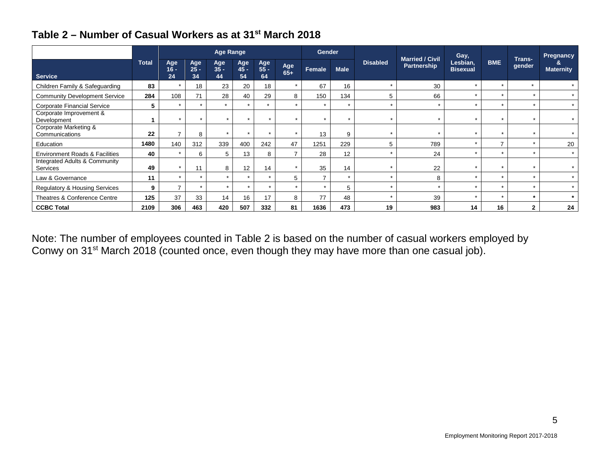| Table 2 – Number of Casual Workers as at 31 <sup>st</sup> March 2018 |  |  |  |  |  |
|----------------------------------------------------------------------|--|--|--|--|--|
|----------------------------------------------------------------------|--|--|--|--|--|

|                                           |              |                      |                     | <b>Age Range</b>     |                      |                     |                          | <b>Gender</b>            |             |                 |                                       | Gay,                        |               |                  | Pregnancy             |
|-------------------------------------------|--------------|----------------------|---------------------|----------------------|----------------------|---------------------|--------------------------|--------------------------|-------------|-----------------|---------------------------------------|-----------------------------|---------------|------------------|-----------------------|
| <b>Service</b>                            | <b>Total</b> | Age<br>$16 -$<br>24  | Age<br>$25 -$<br>34 | Age<br>$35 -$<br>44  | Age<br>$45 -$<br>54  | Age<br>$55 -$<br>64 | Age<br>$65+$             | Female                   | <b>Male</b> | <b>Disabled</b> | <b>Married / Civil</b><br>Partnership | Lesbian,<br><b>Bisexual</b> | <b>BME</b>    | Trans-<br>gender | ö<br><b>Maternity</b> |
| Children Family & Safeguarding            | 83           | $\star$              | 18                  | 23                   | 20                   | 18                  | $\star$                  | 67                       | 16          | $\star$         | 30                                    | $\star$                     | $\star$       | $\star$          | $\star$               |
| <b>Community Development Service</b>      | 284          | 108                  | 71                  | 28                   | 40                   | 29                  | 8                        | 150                      | 134         | 5               | 66                                    |                             | $\star$       |                  | $\star$               |
| <b>Corporate Financial Service</b>        | 5            |                      |                     | $\star$              |                      | $\star$             | $\star$                  | $\ddot{\phantom{1}}$     | $\star$     | $\star$         |                                       |                             | ÷             |                  | $\star$               |
| Corporate Improvement &<br>Development    |              |                      | $\star$             |                      | $\ddot{\phantom{1}}$ | $\star$             | $\star$                  | $\overline{ }$           | $\star$     | $\star$         | $\star$                               | $\star$                     | $\star$       | $\ddot{}$        | $\star$               |
| Corporate Marketing &<br>Communications   | 22           |                      | 8                   |                      |                      |                     | $\star$                  | 13                       | 9           |                 |                                       |                             |               |                  | $\star$               |
| Education                                 | 1480         | 140                  | 312                 | 339                  | 400                  | 242                 | 47                       | 1251                     | 229         | 5               | 789                                   |                             | $\rightarrow$ |                  | 20                    |
| <b>Environment Roads &amp; Facilities</b> | 40           | $\star$              | 6                   | 5                    | 13                   | 8                   | $\overline{\phantom{a}}$ | 28                       | 12          | $\star$         | 24                                    | $\star$                     | $\star$       | $\star$          | $\star$               |
| Integrated Adults & Community<br>Services | 49           |                      | 11                  | 8                    | 12                   | 14                  | $\star$                  | 35                       | 14          |                 | 22                                    |                             | $\star$       |                  | $\star$               |
| Law & Governance                          | 11           | $\ddot{\phantom{1}}$ | ÷                   |                      | ÷                    | $\rightarrow$       | $5\overline{5}$          | $\overline{\phantom{a}}$ | ٠           | $\star$         | 8                                     |                             | ÷             |                  | $\star$               |
| <b>Regulatory &amp; Housing Services</b>  | 9            | ⇁                    |                     | $\ddot{\phantom{1}}$ | $\star$              | $\star$             | $\star$                  |                          | 5           | $\star$         | $\star$                               | $\star$                     | $\star$       | $\ddot{}$        | $\star$               |
| Theatres & Conference Centre              | 125          | 37                   | 33                  | 14                   | 16                   | 17                  | 8                        | 77                       | 48          | $\star$         | 39                                    | $\star$                     | $\star$       |                  | $\star$               |
| <b>CCBC Total</b>                         | 2109         | 306                  | 463                 | 420                  | 507                  | 332                 | 81                       | 1636                     | 473         | 19              | 983                                   | 14                          | 16            | 2                | 24                    |

Note: The number of employees counted in Table 2 is based on the number of casual workers employed by Conwy on 31<sup>st</sup> March 2018 (counted once, even though they may have more than one casual job).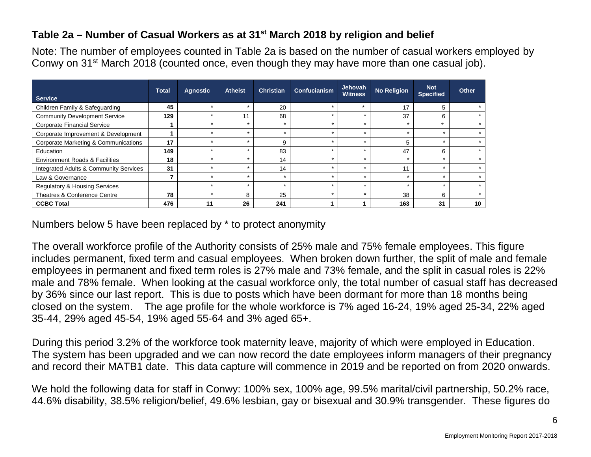#### **Table 2a – Number of Casual Workers as at 31st March 2018 by religion and belief**

Note: The number of employees counted in Table 2a is based on the number of casual workers employed by Conwy on 31<sup>st</sup> March 2018 (counted once, even though they may have more than one casual job).

| <b>Service</b>                            | <b>Total</b> | <b>Agnostic</b> | <b>Atheist</b> | <b>Christian</b> | Confucianism | <b>Jehovah</b><br><b>Witness</b> | <b>No Religion</b> | <b>Not</b><br><b>Specified</b> | <b>Other</b> |
|-------------------------------------------|--------------|-----------------|----------------|------------------|--------------|----------------------------------|--------------------|--------------------------------|--------------|
| Children Family & Safeguarding            | 45           |                 |                | 20               |              | $\ddot{\phantom{1}}$             | 17                 | 5                              |              |
| <b>Community Development Service</b>      | 129          |                 | 11             | 68               |              |                                  | 37                 | 6                              |              |
| <b>Corporate Financial Service</b>        |              |                 |                |                  |              |                                  |                    |                                |              |
| Corporate Improvement & Development       |              |                 |                | $\star$          | ÷            |                                  | $\star$            | ÷                              |              |
| Corporate Marketing & Communications      | 17           |                 |                | 9                |              |                                  | 5                  | $\ddot{\phantom{1}}$           |              |
| Education                                 | 149          |                 |                | 83               |              |                                  | 47                 | 6                              |              |
| <b>Environment Roads &amp; Facilities</b> | 18           |                 |                | 14               |              |                                  | $\star$            | ≁                              |              |
| Integrated Adults & Community Services    | 31           |                 |                | 14               |              |                                  | 11                 |                                |              |
| Law & Governance                          |              |                 |                | ÷                |              |                                  | $\star$            | ÷                              |              |
| <b>Regulatory &amp; Housing Services</b>  |              |                 |                |                  |              |                                  |                    | ÷                              |              |
| Theatres & Conference Centre              | 78           |                 | 8              | 25               |              |                                  | 38                 | 6                              |              |
| <b>CCBC Total</b>                         | 476          | 11              | 26             | 241              |              |                                  | 163                | 31                             | 10           |

Numbers below 5 have been replaced by \* to protect anonymity

The overall workforce profile of the Authority consists of 25% male and 75% female employees. This figure includes permanent, fixed term and casual employees. When broken down further, the split of male and female employees in permanent and fixed term roles is 27% male and 73% female, and the split in casual roles is 22% male and 78% female. When looking at the casual workforce only, the total number of casual staff has decreased by 36% since our last report. This is due to posts which have been dormant for more than 18 months being closed on the system. The age profile for the whole workforce is 7% aged 16-24, 19% aged 25-34, 22% aged 35-44, 29% aged 45-54, 19% aged 55-64 and 3% aged 65+.

During this period 3.2% of the workforce took maternity leave, majority of which were employed in Education. The system has been upgraded and we can now record the date employees inform managers of their pregnancy and record their MATB1 date. This data capture will commence in 2019 and be reported on from 2020 onwards.

We hold the following data for staff in Conwy: 100% sex, 100% age, 99.5% marital/civil partnership, 50.2% race, 44.6% disability, 38.5% religion/belief, 49.6% lesbian, gay or bisexual and 30.9% transgender. These figures do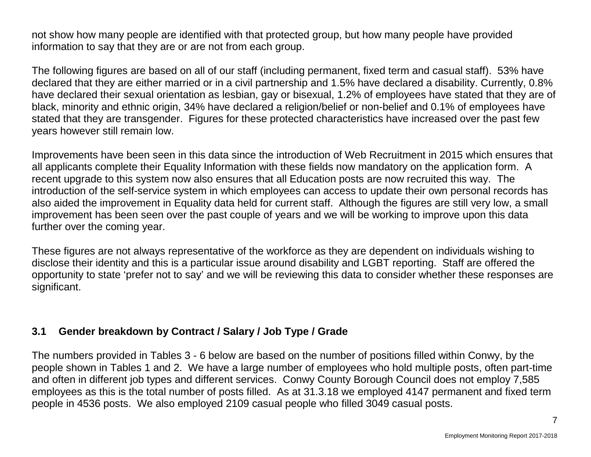not show how many people are identified with that protected group, but how many people have provided information to say that they are or are not from each group.

The following figures are based on all of our staff (including permanent, fixed term and casual staff). 53% have declared that they are either married or in a civil partnership and 1.5% have declared a disability. Currently, 0.8% have declared their sexual orientation as lesbian, gay or bisexual, 1.2% of employees have stated that they are of black, minority and ethnic origin, 34% have declared a religion/belief or non-belief and 0.1% of employees have stated that they are transgender. Figures for these protected characteristics have increased over the past few years however still remain low.

Improvements have been seen in this data since the introduction of Web Recruitment in 2015 which ensures that all applicants complete their Equality Information with these fields now mandatory on the application form. A recent upgrade to this system now also ensures that all Education posts are now recruited this way. The introduction of the self-service system in which employees can access to update their own personal records has also aided the improvement in Equality data held for current staff. Although the figures are still very low, a small improvement has been seen over the past couple of years and we will be working to improve upon this data further over the coming year.

These figures are not always representative of the workforce as they are dependent on individuals wishing to disclose their identity and this is a particular issue around disability and LGBT reporting. Staff are offered the opportunity to state 'prefer not to say' and we will be reviewing this data to consider whether these responses are significant.

### **3.1 Gender breakdown by Contract / Salary / Job Type / Grade**

The numbers provided in Tables 3 - 6 below are based on the number of positions filled within Conwy, by the people shown in Tables 1 and 2. We have a large number of employees who hold multiple posts, often part-time and often in different job types and different services. Conwy County Borough Council does not employ 7,585 employees as this is the total number of posts filled. As at 31.3.18 we employed 4147 permanent and fixed term people in 4536 posts. We also employed 2109 casual people who filled 3049 casual posts.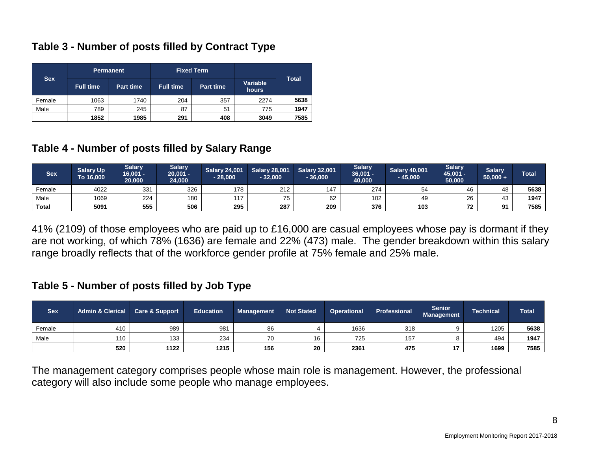#### **Table 3 - Number of posts filled by Contract Type**

|            |                  | <b>Permanent</b> |                  | <b>Fixed Term</b> |                   |              |
|------------|------------------|------------------|------------------|-------------------|-------------------|--------------|
| <b>Sex</b> | <b>Full time</b> | <b>Part time</b> | <b>Full time</b> | <b>Part time</b>  | Variable<br>hours | <b>Total</b> |
| Female     | 1063             | 1740             | 204              | 357               | 2274              | 5638         |
| Male       | 789              | 245              | 87               | 51                | 775               | 1947         |
|            | 1852<br>1985     |                  | 291              | 408               | 3049              | 7585         |

#### **Table 4 - Number of posts filled by Salary Range**

| <b>Sex</b>   | <b>Salary Up</b><br>To 16,000 | <b>Salary</b><br>$16,001 -$<br>20.000 | <b>Salary</b><br>$20,001 -$<br>24,000 | <b>Salary 24,001</b><br>$-28,000$ | <b>Salary 28,001</b><br>$-32,000$ | <b>Salary 32,001</b><br>36,000 | <b>Salary</b><br>$36,001 -$<br>40,000 | <b>Salary 40,001</b><br>$-45,000$ | <b>Salary</b><br>45,001 -<br>50,000 | <b>Salarv</b><br>$50,000 +$ | <b>Total</b> |
|--------------|-------------------------------|---------------------------------------|---------------------------------------|-----------------------------------|-----------------------------------|--------------------------------|---------------------------------------|-----------------------------------|-------------------------------------|-----------------------------|--------------|
| Female       | 4022                          | 331                                   | 326                                   | 178                               | 212                               | 147                            | 274                                   | 54                                | 46                                  | 48                          | 5638         |
| Male         | 1069                          | 224                                   | 180                                   | 117                               | 75                                | 62                             | 102                                   | 49                                | 26                                  | 43                          | 1947         |
| <b>Total</b> | 5091                          | 555                                   | 506                                   | 295                               | 287                               | 209                            | 376                                   | 103                               | $\overline{ }$                      | Ω,                          | 7585         |

41% (2109) of those employees who are paid up to £16,000 are casual employees whose pay is dormant if they are not working, of which 78% (1636) are female and 22% (473) male. The gender breakdown within this salary range broadly reflects that of the workforce gender profile at 75% female and 25% male.

#### **Table 5 - Number of posts filled by Job Type**

| <b>Sex</b> | <b>Admin &amp; Clerical</b> | <b>Care &amp; Support</b> | <b>Education</b> | <b>Management</b> | <b>Not Stated</b> | <b>Operational</b> | Professional | <b>Senior</b><br><b>Management</b> | Technical | <b>Total</b> |
|------------|-----------------------------|---------------------------|------------------|-------------------|-------------------|--------------------|--------------|------------------------------------|-----------|--------------|
| Female     | 410                         | 989                       | 981              | 86                |                   | 1636               | 318          |                                    | 1205      | 5638         |
| Male       | 110                         | 133                       | 234              | 70                | 16                | 725                | 157          |                                    | 494       | 1947         |
|            | 520                         | 1122                      | 1215             | 156               | 20                | 2361               | 475          |                                    | 1699      | 7585         |

The management category comprises people whose main role is management. However, the professional category will also include some people who manage employees.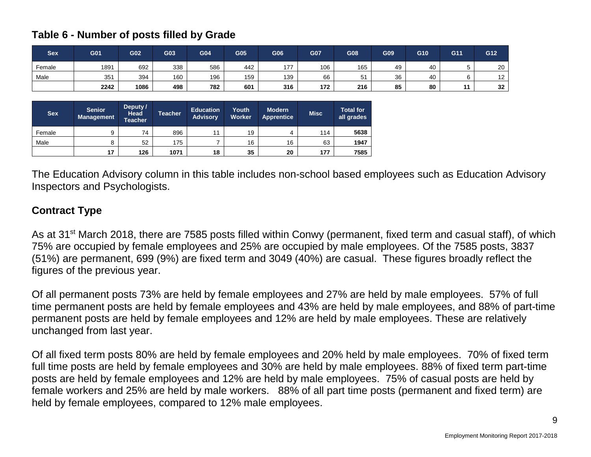#### **Table 6 - Number of posts filled by Grade**

| <b>Sex</b> | G01  | G <sub>02</sub> | G03 | G04 | G05 | G06 | G07 | G08     | G09 | G10 | G11 | G12                 |
|------------|------|-----------------|-----|-----|-----|-----|-----|---------|-----|-----|-----|---------------------|
| Female     | 1891 | 692             | 338 | 586 | 442 | 177 | 106 | 165     | 49  | 40  |     | 20                  |
| Male       | 351  | 394             | 160 | 196 | 159 | 139 | 66  | 51<br>ັ | 36  | 40  |     | $\overline{1}$<br>L |
|            | 2242 | 1086            | 498 | 782 | 601 | 316 | 172 | 216     | 85  | 80  | . . | 32                  |

| <b>Sex</b> | <b>Senior</b><br><b>Management</b> | Deputy /<br>Head<br><b>Teacher</b> | <b>Teacher</b> | <b>Education</b><br><b>Advisory</b> | Youth<br><b>Worker</b> | <b>Modern</b><br><b>Apprentice</b> | <b>Misc</b> | <b>Total for</b><br>all grades |
|------------|------------------------------------|------------------------------------|----------------|-------------------------------------|------------------------|------------------------------------|-------------|--------------------------------|
| Female     | 9                                  | 74                                 | 896            | 44                                  | 19                     | $\Delta$                           | 114         | 5638                           |
| Male       | 8                                  | 52                                 | 175            |                                     | 16                     | 16                                 | 63          | 1947                           |
|            | 17                                 | 126                                | 1071           | 18                                  | 35                     | 20                                 | 177         | 7585                           |

The Education Advisory column in this table includes non-school based employees such as Education Advisory Inspectors and Psychologists.

### **Contract Type**

As at 31<sup>st</sup> March 2018, there are 7585 posts filled within Conwy (permanent, fixed term and casual staff), of which 75% are occupied by female employees and 25% are occupied by male employees. Of the 7585 posts, 3837 (51%) are permanent, 699 (9%) are fixed term and 3049 (40%) are casual. These figures broadly reflect the figures of the previous year.

Of all permanent posts 73% are held by female employees and 27% are held by male employees. 57% of full time permanent posts are held by female employees and 43% are held by male employees, and 88% of part-time permanent posts are held by female employees and 12% are held by male employees. These are relatively unchanged from last year.

Of all fixed term posts 80% are held by female employees and 20% held by male employees. 70% of fixed term full time posts are held by female employees and 30% are held by male employees. 88% of fixed term part-time posts are held by female employees and 12% are held by male employees. 75% of casual posts are held by female workers and 25% are held by male workers. 88% of all part time posts (permanent and fixed term) are held by female employees, compared to 12% male employees.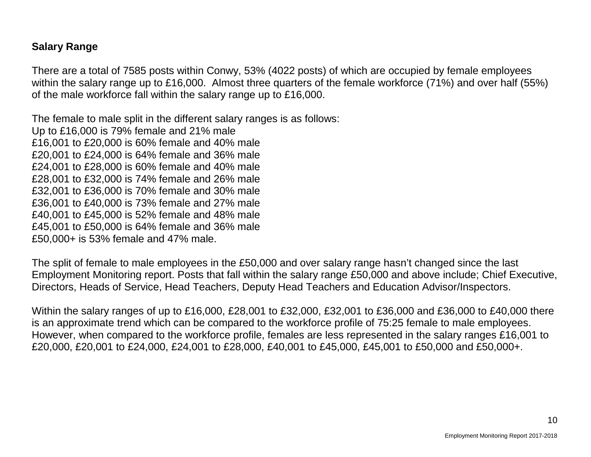#### **Salary Range**

There are a total of 7585 posts within Conwy, 53% (4022 posts) of which are occupied by female employees within the salary range up to £16,000. Almost three quarters of the female workforce (71%) and over half (55%) of the male workforce fall within the salary range up to £16,000.

The female to male split in the different salary ranges is as follows: Up to £16,000 is 79% female and 21% male £16,001 to £20,000 is 60% female and 40% male £20,001 to £24,000 is 64% female and 36% male £24,001 to £28,000 is 60% female and 40% male £28,001 to £32,000 is 74% female and 26% male £32,001 to £36,000 is 70% female and 30% male £36,001 to £40,000 is 73% female and 27% male £40,001 to £45,000 is 52% female and 48% male £45,001 to £50,000 is 64% female and 36% male £50,000+ is 53% female and 47% male.

The split of female to male employees in the £50,000 and over salary range hasn't changed since the last Employment Monitoring report. Posts that fall within the salary range £50,000 and above include; Chief Executive, Directors, Heads of Service, Head Teachers, Deputy Head Teachers and Education Advisor/Inspectors.

Within the salary ranges of up to £16,000, £28,001 to £32,000, £32,001 to £36,000 and £36,000 to £40,000 there is an approximate trend which can be compared to the workforce profile of 75:25 female to male employees. However, when compared to the workforce profile, females are less represented in the salary ranges £16,001 to £20,000, £20,001 to £24,000, £24,001 to £28,000, £40,001 to £45,000, £45,001 to £50,000 and £50,000+.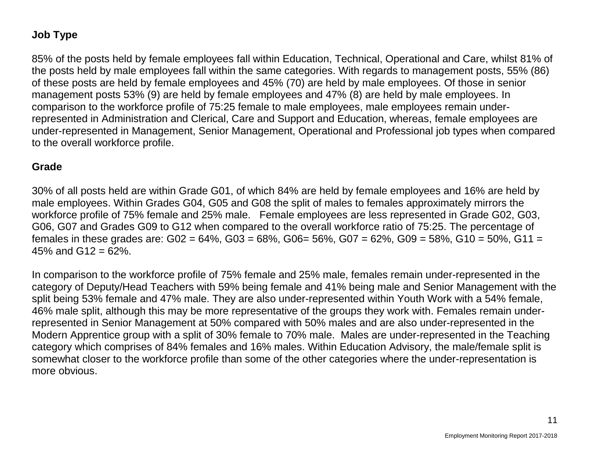### **Job Type**

85% of the posts held by female employees fall within Education, Technical, Operational and Care, whilst 81% of the posts held by male employees fall within the same categories. With regards to management posts, 55% (86) of these posts are held by female employees and 45% (70) are held by male employees. Of those in senior management posts 53% (9) are held by female employees and 47% (8) are held by male employees. In comparison to the workforce profile of 75:25 female to male employees, male employees remain underrepresented in Administration and Clerical, Care and Support and Education, whereas, female employees are under-represented in Management, Senior Management, Operational and Professional job types when compared to the overall workforce profile.

#### **Grade**

30% of all posts held are within Grade G01, of which 84% are held by female employees and 16% are held by male employees. Within Grades G04, G05 and G08 the split of males to females approximately mirrors the workforce profile of 75% female and 25% male. Female employees are less represented in Grade G02, G03, G06, G07 and Grades G09 to G12 when compared to the overall workforce ratio of 75:25. The percentage of females in these grades are:  $G02 = 64\%$ ,  $G03 = 68\%$ ,  $G06 = 56\%$ ,  $G07 = 62\%$ ,  $G09 = 58\%$ ,  $G10 = 50\%$ ,  $G11 =$ 45% and  $G12 = 62\%$ .

In comparison to the workforce profile of 75% female and 25% male, females remain under-represented in the category of Deputy/Head Teachers with 59% being female and 41% being male and Senior Management with the split being 53% female and 47% male. They are also under-represented within Youth Work with a 54% female, 46% male split, although this may be more representative of the groups they work with. Females remain underrepresented in Senior Management at 50% compared with 50% males and are also under-represented in the Modern Apprentice group with a split of 30% female to 70% male. Males are under-represented in the Teaching category which comprises of 84% females and 16% males. Within Education Advisory, the male/female split is somewhat closer to the workforce profile than some of the other categories where the under-representation is more obvious.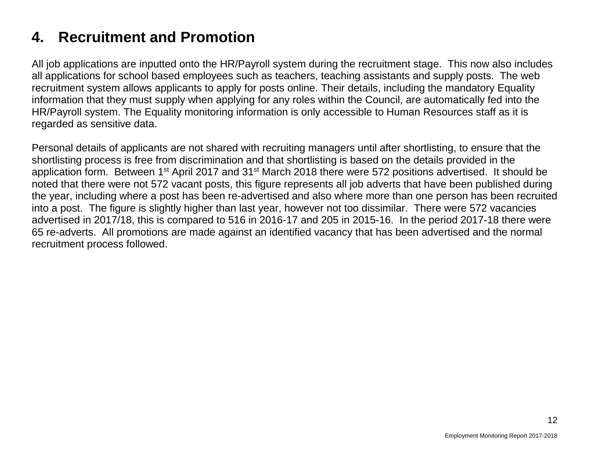# **4. Recruitment and Promotion**

All job applications are inputted onto the HR/Payroll system during the recruitment stage. This now also includes all applications for school based employees such as teachers, teaching assistants and supply posts. The web recruitment system allows applicants to apply for posts online. Their details, including the mandatory Equality information that they must supply when applying for any roles within the Council, are automatically fed into the HR/Payroll system. The Equality monitoring information is only accessible to Human Resources staff as it is regarded as sensitive data.

Personal details of applicants are not shared with recruiting managers until after shortlisting, to ensure that the shortlisting process is free from discrimination and that shortlisting is based on the details provided in the application form. Between 1<sup>st</sup> April 2017 and 31<sup>st</sup> March 2018 there were 572 positions advertised. It should be noted that there were not 572 vacant posts, this figure represents all job adverts that have been published during the year, including where a post has been re-advertised and also where more than one person has been recruited into a post. The figure is slightly higher than last year, however not too dissimilar. There were 572 vacancies advertised in 2017/18, this is compared to 516 in 2016-17 and 205 in 2015-16. In the period 2017-18 there were 65 re-adverts. All promotions are made against an identified vacancy that has been advertised and the normal recruitment process followed.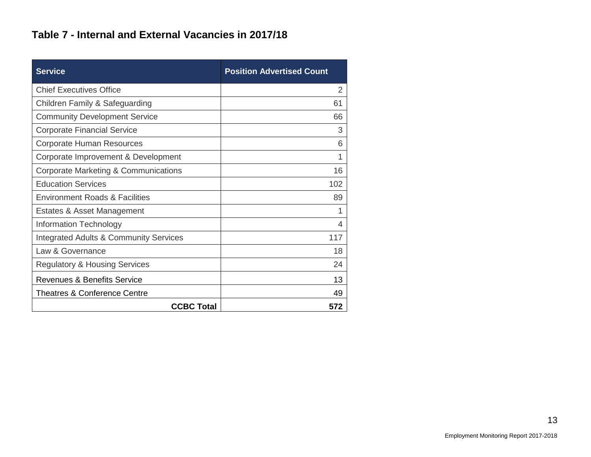### **Table 7 - Internal and External Vacancies in 2017/18**

| <b>Service</b>                                    | <b>Position Advertised Count</b> |
|---------------------------------------------------|----------------------------------|
| <b>Chief Executives Office</b>                    | 2                                |
| Children Family & Safeguarding                    | 61                               |
| <b>Community Development Service</b>              | 66                               |
| <b>Corporate Financial Service</b>                | 3                                |
| <b>Corporate Human Resources</b>                  | 6                                |
| Corporate Improvement & Development               | 1                                |
| Corporate Marketing & Communications              | 16                               |
| <b>Education Services</b>                         | 102                              |
| <b>Environment Roads &amp; Facilities</b>         | 89                               |
| Estates & Asset Management                        | 1                                |
| Information Technology                            | 4                                |
| <b>Integrated Adults &amp; Community Services</b> | 117                              |
| Law & Governance                                  | 18                               |
| <b>Regulatory &amp; Housing Services</b>          | 24                               |
| <b>Revenues &amp; Benefits Service</b>            | 13                               |
| <b>Theatres &amp; Conference Centre</b>           | 49                               |
| <b>CCBC Total</b>                                 | 572                              |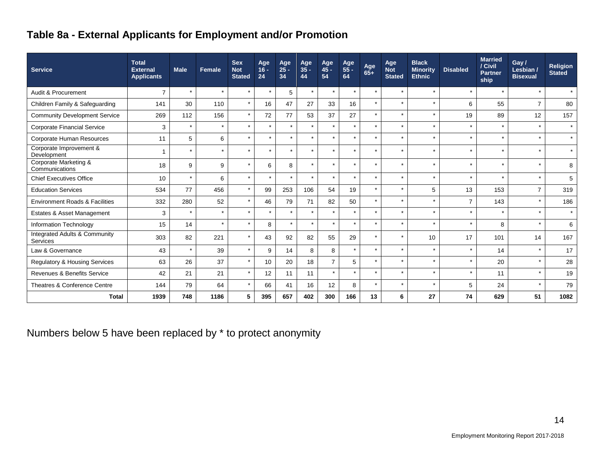# **Table 8a - External Applicants for Employment and/or Promotion**

| <b>Service</b>                            | <b>Total</b><br><b>External</b><br><b>Applicants</b> | <b>Male</b> | Female  | <b>Sex</b><br><b>Not</b><br><b>Stated</b> | Age<br>$16 -$<br>24 | Age<br>$25 -$<br>34 | Age<br>$35 -$<br>44 | Age<br>$45 -$<br>54 | Age<br>$55 -$<br>64  | Age<br>$65+$ | Age<br><b>Not</b><br><b>Stated</b> | <b>Black</b><br><b>Minority</b><br><b>Ethnic</b> | <b>Disabled</b> | <b>Married</b><br>/ Civil<br><b>Partner</b><br>ship | Gay/<br>Lesbian /<br><b>Bisexual</b> | <b>Religion</b><br><b>Stated</b> |
|-------------------------------------------|------------------------------------------------------|-------------|---------|-------------------------------------------|---------------------|---------------------|---------------------|---------------------|----------------------|--------------|------------------------------------|--------------------------------------------------|-----------------|-----------------------------------------------------|--------------------------------------|----------------------------------|
| Audit & Procurement                       | $\overline{7}$                                       | $\star$     | $\star$ | $\star$                                   | $\star$             | 5                   | $\star$             | $\star$             | $\star$              | $\star$      | $\star$                            | $\star$                                          | $\star$         | $\star$                                             | $\star$                              | $\star$                          |
| Children Family & Safeguarding            | 141                                                  | 30          | 110     | $\star$                                   | 16                  | 47                  | 27                  | 33                  | 16                   | $\star$      | $\star$                            | $\star$                                          | 6               | 55                                                  | $\overline{7}$                       | 80                               |
| <b>Community Development Service</b>      | 269                                                  | 112         | 156     | $\star$                                   | 72                  | 77                  | 53                  | 37                  | 27                   | $\star$      | $\star$                            | $\star$                                          | 19              | 89                                                  | 12                                   | 157                              |
| <b>Corporate Financial Service</b>        | 3                                                    | $\star$     | $\star$ | $\star$                                   | $\star$             | $\star$             | $\star$             | $\star$             | $\star$              | $\star$      | $\star$                            | $\star$                                          | $\star$         | $\star$                                             | $\star$                              | $\star$                          |
| Corporate Human Resources                 | 11                                                   | 5           | 6       | $\star$                                   | $\star$             | $\star$             | $\star$             | $\star$             | $\star$              | $\star$      | $\star$                            | $\star$                                          | $\star$         | $\star$                                             | $\star$                              | $\star$                          |
| Corporate Improvement &<br>Development    |                                                      | $\star$     | $\star$ | $\star$                                   | $\star$             | $\star$             | $\star$             | $\star$             | $\star$              | $\star$      | $\star$                            | $\star$                                          | $\star$         | $\star$                                             | $\star$                              | $\star$                          |
| Corporate Marketing &<br>Communications   | 18                                                   | 9           | 9       | $\star$                                   | 6                   | 8                   | $\star$             | $\star$             | $\star$              | $\star$      | $\star$                            | $\star$                                          | $\star$         | $\star$                                             | $\star$                              | 8                                |
| <b>Chief Executives Office</b>            | 10                                                   | $\star$     | 6       | $\star$                                   | $\star$             | $\star$             | $\star$             | $\star$             | $\ddot{\phantom{0}}$ | $\star$      | $\star$                            | $\star$                                          | $\star$         | $\star$                                             | $\star$                              | $\sqrt{5}$                       |
| <b>Education Services</b>                 | 534                                                  | 77          | 456     | $\star$                                   | 99                  | 253                 | 106                 | 54                  | 19                   | $\star$      | $\star$                            | 5                                                | 13              | 153                                                 | $\overline{7}$                       | 319                              |
| <b>Environment Roads &amp; Facilities</b> | 332                                                  | 280         | 52      | $\star$                                   | 46                  | 79                  | 71                  | 82                  | 50                   | $\star$      | $\star$                            | $\star$                                          | $\overline{7}$  | 143                                                 | $\star$                              | 186                              |
| Estates & Asset Management                | 3                                                    | $\star$     | $\star$ | $\star$                                   | $\star$             | $\star$             | $\star$             | $\star$             | $\star$              | $\star$      | $\star$                            | $\star$                                          | $\star$         | $\star$                                             | $\star$                              | $\star$                          |
| Information Technology                    | 15                                                   | 14          | $\star$ | $\star$                                   | 8                   |                     | $\star$             | $\star$             | $\star$              | $\star$      | $\star$                            | $\star$                                          | $\star$         | 8                                                   | $\star$                              | 6                                |
| Integrated Adults & Community<br>Services | 303                                                  | 82          | 221     | $\star$                                   | 43                  | 92                  | 82                  | 55                  | 29                   | $\star$      | $\ddot{\phantom{0}}$               | 10                                               | 17              | 101                                                 | 14                                   | 167                              |
| Law & Governance                          | 43                                                   | $\star$     | 39      | $\star$                                   | 9                   | 14                  | 8                   | 8                   | $\star$              | $\star$      | $\star$                            | $\star$                                          | $\star$         | 14                                                  | $\star$                              | 17                               |
| Regulatory & Housing Services             | 63                                                   | 26          | 37      | $\star$                                   | 10                  | 20                  | 18                  | $\overline{7}$      | 5                    | $\star$      | $\star$                            | $\star$                                          | $\star$         | 20                                                  | $\star$                              | 28                               |
| Revenues & Benefits Service               | 42                                                   | 21          | 21      | $\star$                                   | 12                  | 11                  | 11                  | $\star$             | $\star$              | $\star$      | $\star$                            | $\star$                                          | $\star$         | 11                                                  | $\star$                              | 19                               |
| Theatres & Conference Centre              | 144                                                  | 79          | 64      | $\star$                                   | 66                  | 41                  | 16                  | 12                  | 8                    | $\star$      | $\star$                            | $\star$                                          | 5               | 24                                                  | $\star$                              | 79                               |
| <b>Total</b>                              | 1939                                                 | 748         | 1186    | 5                                         | 395                 | 657                 | 402                 | 300                 | 166                  | 13           | 6                                  | 27                                               | 74              | 629                                                 | 51                                   | 1082                             |

Numbers below 5 have been replaced by \* to protect anonymity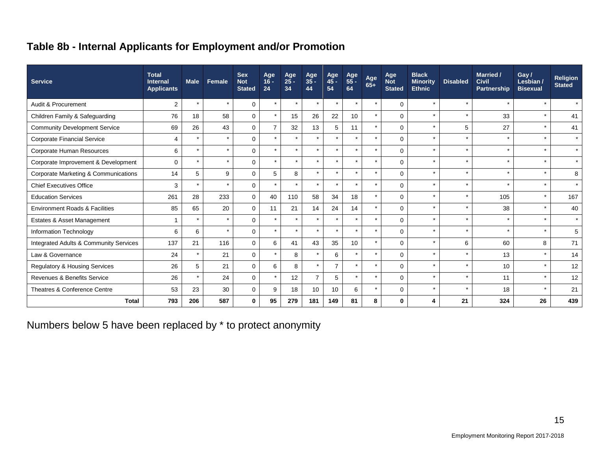# **Table 8b - Internal Applicants for Employment and/or Promotion**

| <b>Service</b>                         | <b>Total</b><br><b>Internal</b><br><b>Applicants</b> | <b>Male</b> | <b>Female</b> | <b>Sex</b><br><b>Not</b><br><b>Stated</b> | Age<br>$16 -$<br>24 | Age<br>25 -<br>34 | Age<br>$35 -$<br>44  | Age<br>45 -<br>54 | Age<br>55 -<br>64 | Age<br>65+ | Age<br><b>Not</b><br><b>Stated</b> | <b>Black</b><br><b>Minority</b><br><b>Ethnic</b> | <b>Disabled</b> | <b>Married /</b><br><b>Civil</b><br><b>Partnership</b> | Gay $/$<br>Lesbian /<br><b>Bisexual</b> | <b>Religion</b><br><b>Stated</b> |
|----------------------------------------|------------------------------------------------------|-------------|---------------|-------------------------------------------|---------------------|-------------------|----------------------|-------------------|-------------------|------------|------------------------------------|--------------------------------------------------|-----------------|--------------------------------------------------------|-----------------------------------------|----------------------------------|
| Audit & Procurement                    | 2                                                    |             | $\star$       | $\Omega$                                  | $\star$             | $\star$           |                      |                   | $\star$           | $\star$    | $\mathbf 0$                        | $\star$                                          | $\star$         | $\star$                                                | $\star$                                 | $\star$                          |
| Children Family & Safeguarding         | 76                                                   | 18          | 58            | $\Omega$                                  | $\star$             | 15                | 26                   | 22                | 10                | $\star$    | $\Omega$                           | $\star$                                          | $\star$         | 33                                                     | $\star$                                 | 41                               |
| <b>Community Development Service</b>   | 69                                                   | 26          | 43            | $\Omega$                                  | $\overline{7}$      | 32                | 13                   | 5                 | 11                |            | $\Omega$                           | $\star$                                          | 5               | 27                                                     | $\star$                                 | 41                               |
| <b>Corporate Financial Service</b>     | 4                                                    |             | $\star$       | $\Omega$                                  | $\star$             | $\star$           | $\star$              | $\star$           | $\star$           | $\star$    | $\Omega$                           | $\star$                                          | $\star$         | $\star$                                                | $\star$                                 | $\star$                          |
| Corporate Human Resources              | 6                                                    |             | $\star$       | $\Omega$                                  | $\star$             | $\star$           |                      |                   | $\star$           | $\star$    | $\Omega$                           | $\star$                                          | $\star$         |                                                        |                                         | $\star$                          |
| Corporate Improvement & Development    | 0                                                    |             | $\star$       | $\mathbf 0$                               | $\star$             | $\star$           | $\ddot{\phantom{1}}$ | $\star$           | $\star$           | $\star$    | $\mathbf 0$                        | $\star$                                          | $\star$         | $\star$                                                | $\star$                                 | $\star$                          |
| Corporate Marketing & Communications   | 14                                                   | 5           | 9             | $\mathbf 0$                               | 5                   | 8                 | $\star$              |                   | $\star$           | $\star$    | $\mathbf 0$                        | $\star$                                          | $\star$         | $\star$                                                | $\star$                                 | 8                                |
| <b>Chief Executives Office</b>         | 3                                                    |             | $\star$       | $\Omega$                                  | $\star$             | $\star$           |                      |                   | $\star$           |            | $\Omega$                           | $\star$                                          | $\star$         |                                                        | $\star$                                 | $\star$                          |
| <b>Education Services</b>              | 261                                                  | 28          | 233           | $\mathbf 0$                               | 40                  | 110               | 58                   | 34                | 18                | $\star$    | $\Omega$                           | $\star$                                          | $\star$         | 105                                                    | $\star$                                 | 167                              |
| Environment Roads & Facilities         | 85                                                   | 65          | 20            | $\mathbf 0$                               | 11                  | 21                | 14                   | 24                | 14                |            | $\Omega$                           | $\star$                                          | $\star$         | 38                                                     | $\star$                                 | 40                               |
| Estates & Asset Management             |                                                      |             | $\star$       | $\Omega$                                  | $\star$             | $\star$           | $\star$              |                   | $\star$           | $\star$    | $\Omega$                           | $\star$                                          | $\star$         | $\star$                                                | $\star$                                 | $\star$                          |
| Information Technology                 | 6                                                    | 6           | $\star$       | $\Omega$                                  | $\star$             | $\star$           |                      |                   | $\star$           | $\star$    | $\Omega$                           | $\star$                                          | $\star$         | $\ddot{\phantom{1}}$                                   | $\star$                                 | 5                                |
| Integrated Adults & Community Services | 137                                                  | 21          | 116           | $\mathbf 0$                               | 6                   | 41                | 43                   | 35                | 10                | $\star$    | $\mathbf 0$                        | $\star$                                          | 6               | 60                                                     | 8                                       | 71                               |
| Law & Governance                       | 24                                                   |             | 21            | $\mathbf 0$                               | $\star$             | 8                 |                      | 6                 | $\star$           | $\star$    | $\mathbf 0$                        | $\star$                                          | $\star$         | 13                                                     | $\star$                                 | 14                               |
| Regulatory & Housing Services          | 26                                                   | 5           | 21            | $\mathbf 0$                               | 6                   | 8                 | $\star$              | $\overline{7}$    | $\star$           | $\star$    | $\mathbf 0$                        | $\star$                                          | $\star$         | 10                                                     | $\star$                                 | 12                               |
| Revenues & Benefits Service            | 26                                                   |             | 24            | $\mathbf 0$                               | $\star$             | 12                | $\overline{7}$       | 5                 | $\star$           | $\star$    | $\mathbf 0$                        | $\star$                                          | $\star$         | 11                                                     | $\star$                                 | 12                               |
| Theatres & Conference Centre           | 53                                                   | 23          | 30            | $\mathbf 0$                               | 9                   | 18                | 10                   | 10                | 6                 | $\star$    | $\Omega$                           | $\star$                                          | $\star$         | 18                                                     |                                         | 21                               |
| <b>Total</b>                           | 793                                                  | 206         | 587           | $\bf{0}$                                  | 95                  | 279               | 181                  | 149               | 81                | 8          | 0                                  | Δ                                                | 21              | 324                                                    | 26                                      | 439                              |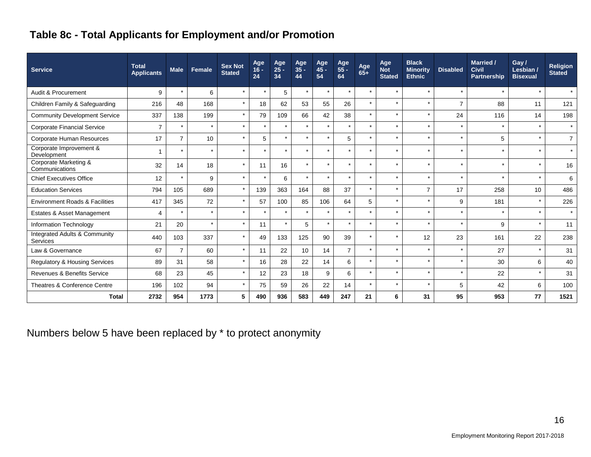# **Table 8c - Total Applicants for Employment and/or Promotion**

| <b>Service</b>                            | <b>Total</b><br><b>Applicants</b> | <b>Male</b>    | Female  | <b>Sex Not</b><br><b>Stated</b> | Age<br>$16 -$<br>24 | Age<br>$25 -$<br>34 | Age<br>$35 -$<br>44 | Age<br>$45 -$<br>54 | Age<br>55 -<br>64 | Age<br>$65+$ | Age<br><b>Not</b><br><b>Stated</b> | <b>Black</b><br><b>Minority</b><br><b>Ethnic</b> | <b>Disabled</b> | <b>Married /</b><br><b>Civil</b><br><b>Partnership</b> | Gay/<br>Lesbian /<br><b>Bisexual</b> | <b>Religion</b><br><b>Stated</b> |
|-------------------------------------------|-----------------------------------|----------------|---------|---------------------------------|---------------------|---------------------|---------------------|---------------------|-------------------|--------------|------------------------------------|--------------------------------------------------|-----------------|--------------------------------------------------------|--------------------------------------|----------------------------------|
| Audit & Procurement                       | 9                                 | $\star$        | 6       |                                 | $\star$             | 5                   | $\star$             | $\star$             | $\star$           | $\star$      | $\star$                            | $\star$                                          |                 |                                                        | $\star$                              | $\star$                          |
| Children Family & Safeguarding            | 216                               | 48             | 168     | $\star$                         | 18                  | 62                  | 53                  | 55                  | 26                | $\star$      | $\star$                            | $\star$                                          | $\overline{7}$  | 88                                                     | 11                                   | 121                              |
| <b>Community Development Service</b>      | 337                               | 138            | 199     |                                 | 79                  | 109                 | 66                  | 42                  | 38                | $\star$      | $\star$                            | $\star$                                          | 24              | 116                                                    | 14                                   | 198                              |
| <b>Corporate Financial Service</b>        | $\overline{7}$                    | $\star$        | $\star$ | $\star$                         | $\star$             | $\star$             | $\star$             | $\star$             | $\star$           | $\star$      | $\star$                            | $\star$                                          | $\star$         | $\star$                                                | $\star$                              | $\star$                          |
| Corporate Human Resources                 | 17                                | $\overline{7}$ | 10      |                                 | 5                   | $\star$             | $\star$             | $\star$             | 5                 | $\star$      | $\star$                            | $\star$                                          |                 | 5                                                      | $\star$                              | $\overline{7}$                   |
| Corporate Improvement &<br>Development    |                                   |                | $\star$ |                                 | $\star$             | $\star$             | ÷                   |                     | $\star$           | $\star$      | $\star$                            | $\star$                                          |                 |                                                        | $\star$                              | $\star$                          |
| Corporate Marketing &<br>Communications   | 32                                | 14             | 18      | $\star$                         | 11                  | 16                  | $\star$             | $\star$             | $\star$           | $\star$      | $\star$                            | $\star$                                          | $\star$         | $\star$                                                | $\star$                              | 16                               |
| <b>Chief Executives Office</b>            | 12                                |                | 9       |                                 | $\star$             | 6                   | $\star$             |                     | $\star$           | $\star$      | $\star$                            | $\star$                                          |                 |                                                        | $\star$                              | 6                                |
| <b>Education Services</b>                 | 794                               | 105            | 689     | $\star$                         | 139                 | 363                 | 164                 | 88                  | 37                | $\star$      | $\star$                            | $\overline{7}$                                   | 17              | 258                                                    | 10                                   | 486                              |
| <b>Environment Roads &amp; Facilities</b> | 417                               | 345            | 72      |                                 | 57                  | 100                 | 85                  | 106                 | 64                | 5            | $\star$                            | $\star$                                          | 9               | 181                                                    | $\star$                              | 226                              |
| Estates & Asset Management                | 4                                 | $\star$        | $\star$ |                                 | $\star$             | $\star$             | $\star$             |                     |                   | $\star$      | $\star$                            | $\star$                                          |                 |                                                        | $\star$                              | $\star$                          |
| Information Technology                    | 21                                | 20             | $\star$ |                                 | 11                  | $\star$             | 5                   |                     |                   | $\star$      | $\star$                            | $\star$                                          |                 | 9                                                      | $\star$                              | 11                               |
| Integrated Adults & Community<br>Services | 440                               | 103            | 337     |                                 | 49                  | 133                 | 125                 | 90                  | 39                | $\star$      | $\star$                            | 12                                               | 23              | 161                                                    | 22                                   | 238                              |
| Law & Governance                          | 67                                | $\overline{7}$ | 60      | $\star$                         | 11                  | 22                  | 10 <sup>°</sup>     | 14                  | $\overline{7}$    | $\star$      | $\star$                            | $\star$                                          | $\star$         | 27                                                     | $\star$                              | 31                               |
| <b>Regulatory &amp; Housing Services</b>  | 89                                | 31             | 58      |                                 | 16                  | 28                  | 22                  | 14                  | 6                 | $\star$      | $\star$                            | $\star$                                          |                 | 30                                                     | 6                                    | 40                               |
| Revenues & Benefits Service               | 68                                | 23             | 45      |                                 | 12                  | 23                  | 18                  | 9                   | 6                 | $\star$      | $\star$                            | $\star$                                          | $\star$         | 22                                                     | $\star$                              | 31                               |
| Theatres & Conference Centre              | 196                               | 102            | 94      |                                 | 75                  | 59                  | 26                  | 22                  | 14                | $\star$      | $\star$                            | $\star$                                          | 5               | 42                                                     | 6                                    | 100                              |
| <b>Total</b>                              | 2732                              | 954            | 1773    | 5                               | 490                 | 936                 | 583                 | 449                 | 247               | 21           | 6                                  | 31                                               | 95              | 953                                                    | 77                                   | 1521                             |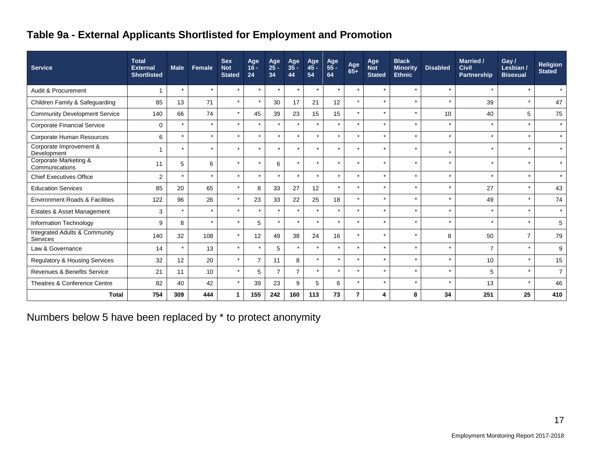# **Table 9a - External Applicants Shortlisted for Employment and Promotion**

| <b>Service</b>                            | <b>Total</b><br><b>External</b><br><b>Shortlisted</b> | <b>Male</b> | <b>Female</b> | <b>Sex</b><br><b>Not</b><br><b>Stated</b> | Age<br>$16 -$<br>24 | Age<br>$25 -$<br>34 | Age<br>$35 -$<br>44 | Age<br>45 -<br>54 | Age<br>$55 -$<br>64  | Age<br>$65+$ | Age<br><b>Not</b><br><b>Stated</b> | <b>Black</b><br><b>Minority</b><br><b>Ethnic</b> | <b>Disabled</b> | <b>Married /</b><br><b>Civil</b><br><b>Partnership</b> | Gay/<br>Lesbian /<br><b>Bisexual</b> | <b>Religion</b><br><b>Stated</b> |
|-------------------------------------------|-------------------------------------------------------|-------------|---------------|-------------------------------------------|---------------------|---------------------|---------------------|-------------------|----------------------|--------------|------------------------------------|--------------------------------------------------|-----------------|--------------------------------------------------------|--------------------------------------|----------------------------------|
| Audit & Procurement                       | 1                                                     |             | $\star$       | $\star$                                   | $\star$             | $\star$             | $\star$             | $\star$           | $\star$              | $\star$      | $\star$                            | $\star$                                          | $\star$         | $\star$                                                | $\star$                              | $\star$                          |
| Children Family & Safeguarding            | 85                                                    | 13          | 71            | $\star$                                   | $\star$             | 30                  | 17                  | 21                | 12                   | $\star$      | $\star$                            | $\star$                                          | $\star$         | 39                                                     | $\star$                              | 47                               |
| <b>Community Development Service</b>      | 140                                                   | 66          | 74            | $\star$                                   | 45                  | 39                  | 23                  | 15                | 15                   | $\star$      | $\star$                            | $\star$                                          | 10              | 40                                                     | 5                                    | 75                               |
| <b>Corporate Financial Service</b>        | 0                                                     | $\star$     | $\star$       | $\star$                                   | $\star$             | $\star$             |                     | $\star$           |                      | $\star$      | $\star$                            | $\star$                                          | $\star$         | $\star$                                                | $\star$                              | $\star$                          |
| Corporate Human Resources                 | 6                                                     |             | $\star$       | $\star$                                   | $\star$             | $\star$             |                     | $\star$           |                      | $\star$      | $\star$                            | $\star$                                          | $\star$         | $\star$                                                | $\star$                              | $\star$                          |
| Corporate Improvement &<br>Development    |                                                       | $\star$     | $\star$       | $\star$                                   | $\star$             | $\star$             |                     | $\star$           | $\ddot{\phantom{0}}$ | $\star$      | $\star$                            | $\star$                                          | $\star$         | $\star$                                                | $\star$                              | $\star$                          |
| Corporate Marketing &<br>Communications   | 11                                                    | 5           | 6             | $\star$                                   | $\star$             | 6                   |                     | $\star$           |                      | $\star$      | $\star$                            | $\star$                                          | $\star$         | $\star$                                                | $\star$                              | $\star$                          |
| <b>Chief Executives Office</b>            | 2                                                     |             | $\star$       | $\star$                                   | $\star$             | $\star$             |                     | $\star$           | $\ddot{\phantom{0}}$ | $\star$      | $\star$                            | $\star$                                          | $\star$         | $\star$                                                |                                      |                                  |
| <b>Education Services</b>                 | 85                                                    | 20          | 65            | $\star$                                   | 8                   | 33                  | 27                  | 12                | $\star$              | $\star$      | $\star$                            | ÷                                                | $\star$         | 27                                                     | $\star$                              | 43                               |
| <b>Environment Roads &amp; Facilities</b> | 122                                                   | 96          | 26            | $\star$                                   | 23                  | 33                  | 22                  | 25                | 18                   | $\star$      | $\star$                            | $\star$                                          | $\star$         | 49                                                     | $\star$                              | 74                               |
| Estates & Asset Management                | 3                                                     |             | $\star$       | $\star$                                   | $\star$             | $\star$             |                     | $\star$           | $\star$              | $\star$      | $\star$                            | $\star$                                          | $\star$         | $\star$                                                | $\star$                              | $\star$                          |
| Information Technology                    | 9                                                     | 8           | $\star$       | $\star$                                   | 5                   | $\star$             | $\star$             | $\star$           | $\star$              | $\star$      | $\star$                            | $\star$                                          | $\star$         | $\star$                                                | $\star$                              | 5                                |
| Integrated Adults & Community<br>Services | 140                                                   | 32          | 108           | $\star$                                   | 12                  | 49                  | 38                  | 24                | 16                   | $\star$      | $\star$                            | $\star$                                          | 8               | 50                                                     | $\overline{7}$                       | 79                               |
| Law & Governance                          | 14                                                    | $\star$     | 13            | $\star$                                   | $\star$             | 5                   | $\star$             | $\star$           | $\star$              | $\star$      | $\star$                            | $\star$                                          | $\star$         | $\overline{7}$                                         | $\star$                              | 9                                |
| Regulatory & Housing Services             | 32                                                    | 12          | 20            | $\star$                                   | $\overline{7}$      | 11                  | 8                   | $\star$           | $\star$              | $\star$      | $\star$                            | $\star$                                          | $\star$         | 10                                                     | $\star$                              | 15                               |
| Revenues & Benefits Service               | 21                                                    | 11          | 10            | $\star$                                   | 5                   | $\overline{7}$      | $\overline{7}$      | $\star$           | $\star$              | $\star$      | $\star$                            | $\star$                                          | $\star$         | 5                                                      | $\star$                              | $\overline{7}$                   |
| Theatres & Conference Centre              | 82                                                    | 40          | 42            | $\star$                                   | 39                  | 23                  | 9                   | 5                 | 6                    | $\star$      | $\star$                            | $\star$                                          | $\star$         | 13                                                     | $\star$                              | 46                               |
| <b>Total</b>                              | 754                                                   | 309         | 444           | 1                                         | 155                 | 242                 | 160                 | 113               | 73                   | 7            | 4                                  | 8                                                | 34              | 251                                                    | 25                                   | 410                              |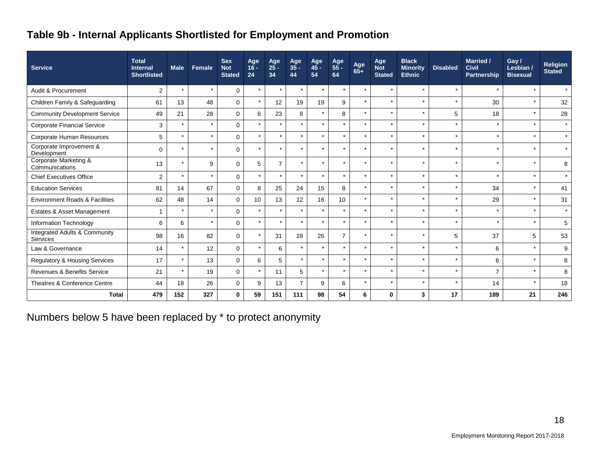# **Table 9b - Internal Applicants Shortlisted for Employment and Promotion**

| <b>Service</b>                            | <b>Total</b><br><b>Internal</b><br><b>Shortlisted</b> | <b>Male</b> | Female  | <b>Sex</b><br><b>Not</b><br><b>Stated</b> | Age<br>$16 -$<br>24 | Age<br>25 -<br>34 | Age<br>35 -<br>44 | Age<br>45 -<br>54 | Age<br>55 -<br>64 | Age<br>$65+$ | Age<br><b>Not</b><br><b>Stated</b> | <b>Black</b><br><b>Minority</b><br><b>Ethnic</b> | <b>Disabled</b> | <b>Married /</b><br><b>Civil</b><br>Partnership | Gay /<br>Lesbian /<br><b>Bisexual</b> | <b>Religion</b><br><b>Stated</b> |
|-------------------------------------------|-------------------------------------------------------|-------------|---------|-------------------------------------------|---------------------|-------------------|-------------------|-------------------|-------------------|--------------|------------------------------------|--------------------------------------------------|-----------------|-------------------------------------------------|---------------------------------------|----------------------------------|
| Audit & Procurement                       | $\overline{c}$                                        | $\star$     | $\star$ | $\Omega$                                  | $\star$             | $\star$           |                   | $\star$           | $\star$           | $\star$      | $\star$                            | $\star$                                          | $\star$         | $\star$                                         | $\star$                               | $\star$                          |
| Children Family & Safeguarding            | 61                                                    | 13          | 48      | 0                                         | $\star$             | 12                | 19                | 19                | 9                 | $\star$      | $\star$                            | $\star$                                          | $\star$         | 30                                              | $\star$                               | 32                               |
| <b>Community Development Service</b>      | 49                                                    | 21          | 28      | $\mathbf 0$                               | 6                   | 23                | 8                 | $\star$           | 8                 | $\star$      | $\star$                            | $\star$                                          | 5               | 18                                              |                                       | 28                               |
| <b>Corporate Financial Service</b>        | 3                                                     | $\star$     | $\star$ | $\Omega$                                  | $\star$             | $\star$           |                   | $\star$           | $\star$           | $\star$      | $\star$                            | $\star$                                          | $\star$         | $\star$                                         | $\star$                               | $\star$                          |
| Corporate Human Resources                 | $5\phantom{.0}$                                       | $\star$     | $\star$ | $\Omega$                                  | $\star$             | $\star$           |                   |                   | $\star$           | $\star$      | $\star$                            | $\star$                                          | $\star$         | $\star$                                         |                                       |                                  |
| Corporate Improvement &<br>Development    | $\mathbf 0$                                           | $\star$     | $\star$ | $\Omega$                                  | $\star$             | $\star$           |                   |                   | $\star$           | $\star$      | $\star$                            | $\star$                                          | $\star$         | $\star$                                         | $\ddot{\phantom{1}}$                  |                                  |
| Corporate Marketing &<br>Communications   | 13                                                    | $\star$     | 9       | $\Omega$                                  | 5                   | $\overline{7}$    |                   |                   | $\star$           | $\star$      | $\star$                            | $\star$                                          | ÷               | $\star$                                         |                                       | 8                                |
| <b>Chief Executives Office</b>            | $\overline{2}$                                        | $\star$     | $\star$ | $\Omega$                                  | $\star$             | $\star$           |                   |                   | $\star$           | $\star$      | $\star$                            | $\star$                                          | $\star$         | $\star$                                         |                                       |                                  |
| <b>Education Services</b>                 | 81                                                    | 14          | 67      | $\Omega$                                  | 8                   | 25                | 24                | 15                | 8                 | $\star$      | $\star$                            | $\star$                                          | ÷               | 34                                              | $\star$                               | 41                               |
| <b>Environment Roads &amp; Facilities</b> | 62                                                    | 48          | 14      | $\Omega$                                  | 10                  | 13                | 12                | 16                | 10                | $\star$      | $\star$                            | $\star$                                          | $\star$         | 29                                              |                                       | 31                               |
| Estates & Asset Management                | $\mathbf{1}$                                          | $\star$     | $\star$ | $\Omega$                                  | $\star$             | $\star$           |                   |                   | $\star$           | $\star$      | $\star$                            | $\star$                                          | $\star$         | $\star$                                         |                                       | $\star$                          |
| Information Technology                    | 6                                                     | 6           | $\star$ | 0                                         | $\star$             | $\star$           | ÷                 | $\star$           | $\star$           | $\star$      | $\star$                            | $\star$                                          | $\star$         | $\star$                                         | $\star$                               | 5                                |
| Integrated Adults & Community<br>Services | 98                                                    | 16          | 82      | 0                                         | $\star$             | 31                | 28                | 26                | $\overline{7}$    | $\star$      | $\star$                            | $\star$                                          | 5               | 37                                              | 5                                     | 53                               |
| Law & Governance                          | 14                                                    | $\star$     | 12      | $\Omega$                                  | $\star$             | 6                 |                   | $\star$           | $\star$           | $\star$      | $\star$                            | $\star$                                          | $\star$         | 6                                               | $\star$                               | 9                                |
| Regulatory & Housing Services             | 17                                                    | $\star$     | 13      | $\Omega$                                  | 6                   | 5                 |                   | $\star$           | $\star$           | $\star$      | $\star$                            | $\star$                                          | $\star$         | 6                                               | $\star$                               | 8                                |
| Revenues & Benefits Service               | 21                                                    | $\star$     | 19      | $\mathbf 0$                               | $\star$             | 11                | 5                 | $\star$           | $\star$           | $\star$      | $\star$                            | $\star$                                          | $\star$         | $\overline{7}$                                  |                                       | 8                                |
| Theatres & Conference Centre              | 44                                                    | 18          | 26      | $\Omega$                                  | 9                   | 13                | $\overline{7}$    | 9                 | 6                 | $\star$      | $\star$                            | $\star$                                          | $\star$         | 14                                              | $\star$                               | 18                               |
| <b>Total</b>                              | 479                                                   | 152         | 327     | 0                                         | 59                  | 151               | 111               | 98                | 54                | 6            | $\bf{0}$                           | 3                                                | 17              | 189                                             | 21                                    | 246                              |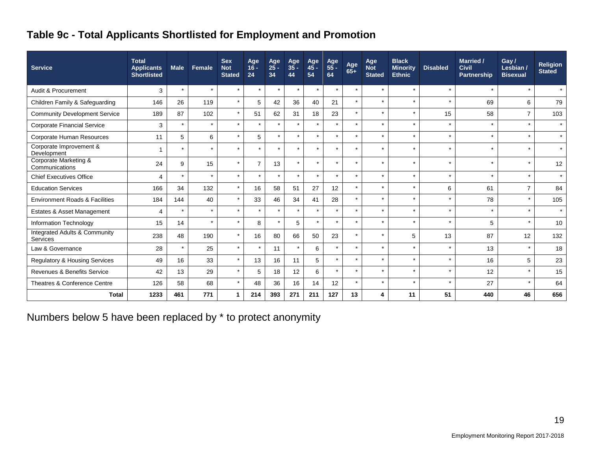# **Table 9c - Total Applicants Shortlisted for Employment and Promotion**

| <b>Service</b>                            | <b>Total</b><br><b>Applicants</b><br><b>Shortlisted</b> | <b>Male</b>              | Female         | <b>Sex</b><br><b>Not</b><br><b>Stated</b> | Age<br>$16 -$<br>24 | Age<br>$25 -$<br>34 | Age<br>$35 -$<br>44 | Age<br>$45 -$<br>54 | Age<br>$55 -$<br>64 | Age<br>$65+$         | Age<br><b>Not</b><br><b>Stated</b> | <b>Black</b><br><b>Minority</b><br><b>Ethnic</b> | <b>Disabled</b> | <b>Married /</b><br><b>Civil</b><br><b>Partnership</b> | Gay/<br>Lesbian /<br><b>Bisexual</b> | <b>Religion</b><br><b>Stated</b> |
|-------------------------------------------|---------------------------------------------------------|--------------------------|----------------|-------------------------------------------|---------------------|---------------------|---------------------|---------------------|---------------------|----------------------|------------------------------------|--------------------------------------------------|-----------------|--------------------------------------------------------|--------------------------------------|----------------------------------|
| Audit & Procurement                       | 3                                                       | $\overline{\phantom{a}}$ | $\star$        | $\star$                                   | $\star$             | $\star$             | $\star$             | $\star$             | $\star$             | $\ddot{\phantom{0}}$ | $\star$                            |                                                  | $\star$         | $\star$                                                |                                      | $\star$                          |
| Children Family & Safeguarding            | 146                                                     | 26                       | 119            | $\star$                                   | 5                   | 42                  | 36                  | 40                  | 21                  | $\star$              | $\star$                            | $\star$                                          | $\star$         | 69                                                     | 6                                    | 79                               |
| <b>Community Development Service</b>      | 189                                                     | 87                       | 102            | $\star$                                   | 51                  | 62                  | 31                  | 18                  | 23                  | $\star$              | $\star$                            | $\star$                                          | 15              | 58                                                     | $\overline{7}$                       | 103                              |
| <b>Corporate Financial Service</b>        | 3                                                       | $\star$                  | $\star$        | $\star$                                   | $\star$             | $\star$             |                     | $\star$             | $\star$             | $\star$              | $\star$                            | $\star$                                          | $\star$         | $\star$                                                | $\star$                              | $\star$                          |
| Corporate Human Resources                 | 11                                                      | 5                        | 6              | $\star$                                   | 5                   | $\star$             |                     | $\star$             | $\star$             |                      | $\star$                            |                                                  | $\star$         | $\star$                                                | $\star$                              | $\star$                          |
| Corporate Improvement &<br>Development    | 1                                                       | $\overline{\phantom{a}}$ | $\star$        | $\star$                                   | $\star$             | $\star$             |                     | $\star$             | $\star$             | $\ddot{\phantom{0}}$ | $\star$                            | $\ddot{\phantom{0}}$                             | $\star$         | $\star$                                                | $\star$                              | $\star$                          |
| Corporate Marketing &<br>Communications   | 24                                                      | 9                        | 15             | $\star$                                   | $\overline{7}$      | 13                  |                     | $\star$             | $\star$             | $\ddot{\phantom{0}}$ | $\ddot{\phantom{1}}$               |                                                  | $\star$         | $\star$                                                | $\star$                              | 12                               |
| <b>Chief Executives Office</b>            | 4                                                       |                          | $\overline{ }$ | $\star$                                   | $\star$             | $\star$             |                     | $\star$             | ÷                   | $\ddot{\phantom{0}}$ | $\ddot{\phantom{1}}$               | $\ddot{\phantom{0}}$                             | $\star$         | $\star$                                                | $\ddot{\phantom{0}}$                 | $\star$                          |
| <b>Education Services</b>                 | 166                                                     | 34                       | 132            | $\star$                                   | 16                  | 58                  | 51                  | 27                  | 12                  | $\star$              | $\star$                            | $\ddot{\phantom{0}}$                             | 6               | 61                                                     | $\overline{7}$                       | 84                               |
| <b>Environment Roads &amp; Facilities</b> | 184                                                     | 144                      | 40             | $\star$                                   | 33                  | 46                  | 34                  | 41                  | 28                  |                      | $\star$                            | $\star$                                          | $\star$         | 78                                                     |                                      | 105                              |
| Estates & Asset Management                | $\overline{4}$                                          |                          | $\star$        | $\star$                                   | $\star$             | $\star$             |                     | $\star$             | $\star$             | $\ddot{\phantom{0}}$ | $\star$                            |                                                  | $\star$         | $\star$                                                | $\star$                              | $\star$                          |
| Information Technology                    | 15                                                      | 14                       | $\star$        | $\star$                                   | 8                   | $\star$             | 5                   | $\star$             | $\star$             | $\ddot{\phantom{0}}$ | $\star$                            | $\ddot{\phantom{0}}$                             | $\star$         | 5                                                      | $\star$                              | 10                               |
| Integrated Adults & Community<br>Services | 238                                                     | 48                       | 190            | $\star$                                   | 16                  | 80                  | 66                  | 50                  | 23                  | $\star$              | $\star$                            | 5                                                | 13              | 87                                                     | 12                                   | 132                              |
| Law & Governance                          | 28                                                      | $\star$                  | 25             | $\star$                                   | $\star$             | 11                  | $\star$             | 6                   | $\star$             | $\star$              | $\star$                            | $\star$                                          | $\star$         | 13                                                     | $\star$                              | 18                               |
| Regulatory & Housing Services             | 49                                                      | 16                       | 33             | $\star$                                   | 13                  | 16                  | 11                  | 5                   | $\star$             | $\ddot{\phantom{0}}$ | $\star$                            | $\star$                                          | $\star$         | 16                                                     | 5                                    | 23                               |
| <b>Revenues &amp; Benefits Service</b>    | 42                                                      | 13                       | 29             | $\star$                                   | 5                   | 18                  | 12                  | 6                   | $\star$             | $\star$              | $\star$                            | $\star$                                          | $\star$         | 12                                                     |                                      | 15                               |
| Theatres & Conference Centre              | 126                                                     | 58                       | 68             | $\star$                                   | 48                  | 36                  | 16                  | 14                  | 12                  | $\ddot{\phantom{0}}$ | $\star$                            | $\star$                                          | $\star$         | 27                                                     | $\star$                              | 64                               |
| <b>Total</b>                              | 1233                                                    | 461                      | 771            | 1                                         | 214                 | 393                 | 271                 | 211                 | 127                 | 13                   | 4                                  | 11                                               | 51              | 440                                                    | 46                                   | 656                              |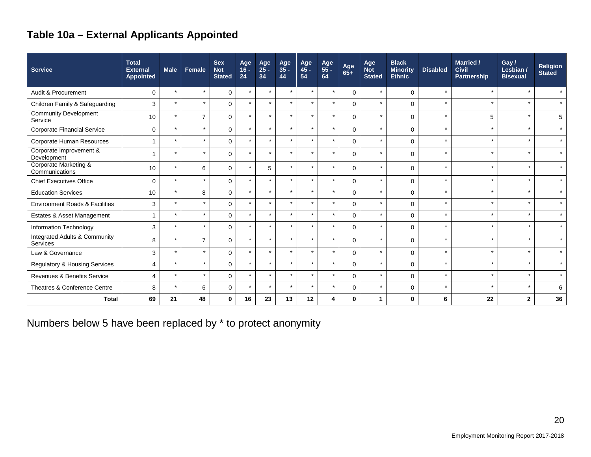# **Table 10a – External Applicants Appointed**

| <b>Service</b>                                       | <b>Total</b><br><b>External</b><br><b>Appointed</b> | <b>Male</b>          | Female                   | <b>Sex</b><br><b>Not</b><br><b>Stated</b> | Age<br>$16 -$<br>24 | Age<br>$25 -$<br>34 | Age<br>$35 -$<br>44  | Age<br>$45 -$<br>54  | Age<br>55 -<br>64 | Age<br>$65+$ | Age<br><b>Not</b><br><b>Stated</b> | <b>Black</b><br><b>Minority</b><br><b>Ethnic</b> | <b>Disabled</b> | <b>Married /</b><br><b>Civil</b><br><b>Partnership</b> | Gay/<br>Lesbian /<br><b>Bisexual</b> | <b>Religion</b><br><b>Stated</b> |
|------------------------------------------------------|-----------------------------------------------------|----------------------|--------------------------|-------------------------------------------|---------------------|---------------------|----------------------|----------------------|-------------------|--------------|------------------------------------|--------------------------------------------------|-----------------|--------------------------------------------------------|--------------------------------------|----------------------------------|
| Audit & Procurement                                  | $\Omega$                                            | $\star$              | $\star$                  | $\mathbf 0$                               | $\star$             | $\star$             | $\star$              | $\star$              | $\star$           | $\Omega$     |                                    | $\Omega$                                         | $\star$         | $\star$                                                |                                      | $\star$                          |
| Children Family & Safeguarding                       | 3                                                   | $\star$              | $\star$                  | $\Omega$                                  | $\star$             | $\star$             | $\star$              | $\star$              | $\star$           | $\Omega$     | $\star$                            | $\Omega$                                         | $\star$         | $\star$                                                | $\star$                              | $\star$                          |
| <b>Community Development</b><br>Service              | 10                                                  | $\star$              | $\overline{7}$           | $\mathbf 0$                               | ÷                   |                     | $\star$              | $\star$              | $\star$           | $\Omega$     |                                    | $\mathbf 0$                                      | $\star$         | 5                                                      |                                      | 5                                |
| <b>Corporate Financial Service</b>                   | $\Omega$                                            | $\star$              | $\star$                  | $\mathbf{0}$                              | $\star$             | ÷                   | $\star$              | $\star$              | $\star$           | $\Omega$     | $\star$                            | $\Omega$                                         | $\star$         | $\star$                                                | $\star$                              | $\star$                          |
| Corporate Human Resources                            | $\overline{\mathbf{A}}$                             | $\star$              | $\star$                  | $\mathbf 0$                               | $\star$             | $\star$             | $\star$              | $\star$              | $\star$           | $\Omega$     | $\star$                            | $\Omega$                                         | $\star$         | $\star$                                                | $\star$                              | $\star$                          |
| Corporate Improvement &<br>Development               |                                                     | $\star$              | $\star$                  | $\mathbf 0$                               | $\star$             | $\star$             | $\star$              | $\star$              | $\star$           | $\Omega$     | $\star$                            | $\mathbf 0$                                      | $\star$         | $\star$                                                | $\star$                              | $\star$                          |
| Corporate Marketing &<br>Communications              | 10                                                  | $\star$              | 6                        | $\mathbf 0$                               |                     | 5                   | $\star$              | $\star$              | $\star$           | $\Omega$     |                                    | 0                                                | $\star$         | $\star$                                                | $\star$                              | $\star$                          |
| <b>Chief Executives Office</b>                       | $\mathbf 0$                                         | $\star$              | $\star$                  | $\mathbf 0$                               | $\star$             |                     | $\star$              | $\star$              | $\star$           | $\Omega$     | $\star$                            | $\mathbf 0$                                      | $\star$         | $\star$                                                | $\star$                              | $\star$                          |
| <b>Education Services</b>                            | 10                                                  | $\ddot{\phantom{0}}$ | 8                        | $\mathbf 0$                               |                     |                     | $\ddot{\phantom{1}}$ |                      | $\star$           | $\Omega$     |                                    | $\Omega$                                         |                 | $\star$                                                | $\star$                              | $\star$                          |
| <b>Environment Roads &amp; Facilities</b>            | 3                                                   | $\star$              | $\star$                  | $\mathbf 0$                               |                     | $\star$             | $\star$              | $\star$              | $\star$           | $\Omega$     |                                    | $\Omega$                                         | $\star$         | $\star$                                                | $\star$                              | $\star$                          |
| Estates & Asset Management                           |                                                     | $\star$              | $\star$                  | $\mathbf 0$                               |                     |                     | $\star$              | $\star$              | $\star$           | $\mathbf{0}$ |                                    | $\mathbf 0$                                      | $\star$         | $\star$                                                | $\star$                              | $\star$                          |
| Information Technology                               | 3                                                   | $\star$              | $\ddot{\phantom{0}}$     | $\mathbf 0$                               |                     |                     | $\ddot{\phantom{0}}$ | $\ddot{\phantom{0}}$ | $\star$           | $\Omega$     |                                    | $\Omega$                                         | $\star$         | $\star$                                                | $\star$                              | $\star$                          |
| <b>Integrated Adults &amp; Community</b><br>Services | 8                                                   | $\star$              | $\overline{7}$           | $\mathbf 0$                               |                     |                     | $\ddot{\phantom{0}}$ |                      | $\star$           | $\Omega$     |                                    | $\mathbf 0$                                      | $\star$         | $\star$                                                |                                      | $\star$                          |
| Law & Governance                                     | 3                                                   | $\star$              | $\star$                  | $\mathbf 0$                               |                     |                     | $\ddot{\phantom{0}}$ | $\ddot{\phantom{0}}$ | $\star$           | $\Omega$     |                                    | $\mathbf 0$                                      | $\star$         | $\star$                                                | $\star$                              | $\star$                          |
| Regulatory & Housing Services                        | 4                                                   | $\star$              | $\overline{\phantom{a}}$ | $\mathbf 0$                               |                     | ÷                   | $\overline{ }$       | $\star$              | $\star$           | $\Omega$     |                                    | $\mathbf 0$                                      |                 | $\star$                                                | $\star$                              | $\star$                          |
| Revenues & Benefits Service                          | $\boldsymbol{\Delta}$                               | $\star$              | $\star$                  | $\mathbf 0$                               | $\star$             | $\star$             | $\star$              | $\star$              | $\star$           | $\Omega$     | $\star$                            | $\mathbf 0$                                      | $\star$         | $\star$                                                | $\star$                              | $\star$                          |
| Theatres & Conference Centre                         | 8                                                   | $\star$              | 6                        | $\mathbf 0$                               |                     |                     | $\ddot{\phantom{0}}$ |                      | $\star$           | $\Omega$     |                                    | $\Omega$                                         | $\star$         | $\star$                                                |                                      | 6                                |
| <b>Total</b>                                         | 69                                                  | 21                   | 48                       | $\mathbf 0$                               | 16                  | 23                  | 13                   | 12                   | 4                 | $\Omega$     | 1                                  | $\bf{0}$                                         | 6               | 22                                                     | $\mathbf{2}$                         | 36                               |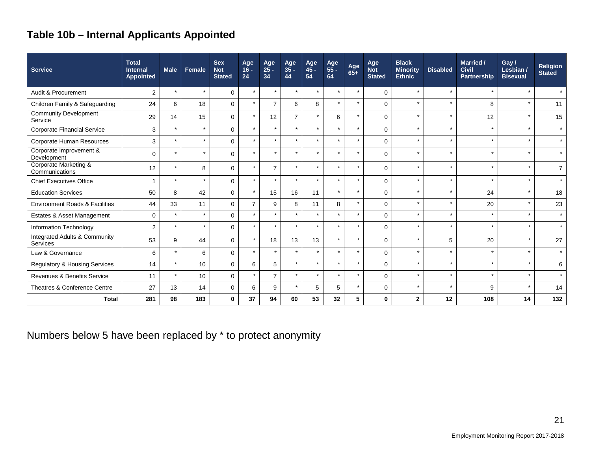# **Table 10b – Internal Applicants Appointed**

| <b>Service</b>                                       | <b>Total</b><br><b>Internal</b><br>Appointed | <b>Male</b> | Female  | <b>Sex</b><br><b>Not</b><br><b>Stated</b> | Age<br>$16 -$<br>24 | Age<br>$25 -$<br>34 | Age<br>$35 -$<br>44 | Age<br>$45 -$<br>54  | Age<br>55 -<br>64 | Age<br>$65+$         | Age<br><b>Not</b><br><b>Stated</b> | <b>Black</b><br><b>Minority</b><br><b>Ethnic</b> | <b>Disabled</b>      | <b>Married /</b><br><b>Civil</b><br><b>Partnership</b> | Gay/<br>Lesbian /<br><b>Bisexual</b> | <b>Religion</b><br><b>Stated</b> |
|------------------------------------------------------|----------------------------------------------|-------------|---------|-------------------------------------------|---------------------|---------------------|---------------------|----------------------|-------------------|----------------------|------------------------------------|--------------------------------------------------|----------------------|--------------------------------------------------------|--------------------------------------|----------------------------------|
| Audit & Procurement                                  | $\overline{2}$                               | $\star$     | $\star$ | $\mathbf 0$                               | $\star$             | $\star$             | $\star$             | $\ddot{\phantom{0}}$ | $\star$           | $\star$              | $\Omega$                           | $\star$                                          |                      | $\star$                                                | $\ddot{\phantom{1}}$                 | $\star$                          |
| Children Family & Safeguarding                       | 24                                           | 6           | 18      | $\mathbf 0$                               | $\star$             | $\overline{7}$      | 6                   | 8                    | $\star$           | $\star$              | $\Omega$                           | $\star$                                          | $\star$              | 8                                                      | $\star$                              | 11                               |
| <b>Community Development</b><br>Service              | 29                                           | 14          | 15      | $\mathbf 0$                               | $\star$             | 12                  | $\overline{7}$      | $\star$              | 6                 | $\star$              | $\Omega$                           | $\star$                                          | A                    | 12                                                     | $\star$                              | 15                               |
| <b>Corporate Financial Service</b>                   | 3                                            | $\star$     | $\star$ | $\Omega$                                  | $\star$             | $\star$             | $\star$             | $\star$              | $\star$           |                      | $\Omega$                           | $\star$                                          |                      | $\star$                                                | $\star$                              | $\star$                          |
| Corporate Human Resources                            | 3                                            | $\star$     | $\star$ | $\mathbf 0$                               | $\star$             | $\star$             | $\star$             | $\star$              | $\star$           |                      | $\Omega$                           | $\star$                                          | Å                    | $\star$                                                | $\star$                              | $\star$                          |
| Corporate Improvement &<br>Development               | $\Omega$                                     | $\star$     | $\star$ | $\mathbf 0$                               | $\star$             | $\star$             | $\star$             | $\star$              | $\star$           | $\star$              | $\Omega$                           | $\star$                                          | A                    | $\star$                                                | $\star$                              | $\star$                          |
| Corporate Marketing &<br>Communications              | 12                                           | $\star$     | 8       | $\mathbf 0$                               | $\star$             | $\overline{7}$      | $\star$             | $\star$              | $\star$           | $\star$              | $\Omega$                           | $\star$                                          | $\star$              | $\star$                                                | $\star$                              | $\overline{7}$                   |
| <b>Chief Executives Office</b>                       | 1                                            | $\star$     | $\star$ | $\mathbf 0$                               | $\star$             | $\star$             | $\star$             | $\star$              | $\star$           |                      | $\Omega$                           | $\star$                                          |                      | $\star$                                                | $\star$                              | $\star$                          |
| <b>Education Services</b>                            | 50                                           | 8           | 42      | 0                                         | $\star$             | 15                  | 16                  | 11                   | $\star$           | $\ddot{\phantom{0}}$ | $\Omega$                           | $\star$                                          |                      | 24                                                     | $\star$                              | 18                               |
| <b>Environment Roads &amp; Facilities</b>            | 44                                           | 33          | 11      | $\Omega$                                  | $\overline{7}$      | 9                   | 8                   | 11                   | 8                 |                      | $\Omega$                           | $\star$                                          |                      | 20                                                     | $\star$                              | 23                               |
| Estates & Asset Management                           | $\mathbf 0$                                  | $\star$     | $\star$ | $\mathbf 0$                               | $\star$             | $\star$             | $\star$             | $\star$              | $\star$           |                      | $\Omega$                           | $\star$                                          |                      | $\star$                                                | $\star$                              | $\star$                          |
| Information Technology                               | $\overline{2}$                               | $\star$     | $\star$ | $\mathbf 0$                               | $\star$             | $\star$             | $\star$             | $\star$              | $\star$           |                      | $\Omega$                           | $\star$                                          | Å                    | $\star$                                                | $\star$                              | $\star$                          |
| <b>Integrated Adults &amp; Community</b><br>Services | 53                                           | 9           | 44      | $\mathbf 0$                               | $\star$             | 18                  | 13                  | 13                   | $\star$           |                      | $\Omega$                           | $\star$                                          | 5                    | 20                                                     | $\star$                              | 27                               |
| Law & Governance                                     | 6                                            | $\star$     | 6       | $\mathbf 0$                               | $\star$             | $\star$             | $\star$             | $\ddot{\phantom{1}}$ | $\star$           | ÷                    | $\Omega$                           | $\star$                                          |                      | $\star$                                                | $\star$                              | $\star$                          |
| <b>Regulatory &amp; Housing Services</b>             | 14                                           | $\star$     | 10      | $\mathbf 0$                               | 6                   | 5                   | $\star$             | $\star$              | $\star$           | $\ddot{\phantom{0}}$ | $\Omega$                           | $\star$                                          |                      | $\star$                                                | $\star$                              | 6                                |
| Revenues & Benefits Service                          | 11                                           | $\star$     | 10      | $\mathbf 0$                               | $\star$             | $\overline{7}$      | $\star$             | $\ddot{\phantom{0}}$ | $\star$           | $\ddot{\phantom{1}}$ | $\Omega$                           | $\star$                                          | $\ddot{\phantom{0}}$ | $\star$                                                | $\star$                              | $\star$                          |
| Theatres & Conference Centre                         | 27                                           | 13          | 14      | 0                                         | 6                   | 9                   | $\star$             | 5                    | 5                 |                      | $\Omega$                           | $\star$                                          |                      | 9                                                      | $\star$                              | 14                               |
| <b>Total</b>                                         | 281                                          | 98          | 183     | $\mathbf 0$                               | 37                  | 94                  | 60                  | 53                   | 32                | 5                    | $\bf{0}$                           | $\mathbf{2}$                                     | 12                   | 108                                                    | 14                                   | 132                              |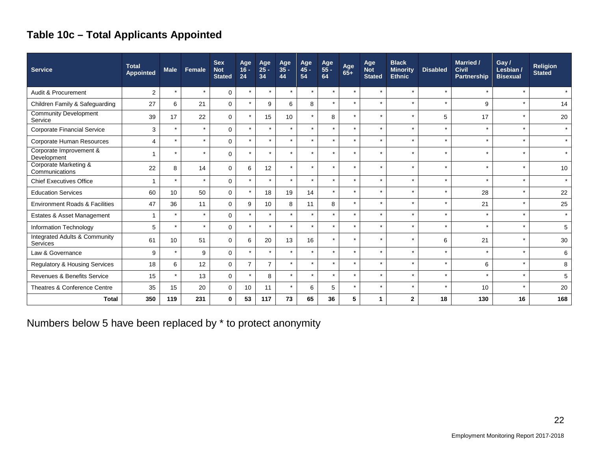# **Table 10c – Total Applicants Appointed**

| <b>Service</b>                            | <b>Total</b><br><b>Appointed</b> | <b>Male</b> | Female  | <b>Sex</b><br><b>Not</b><br><b>Stated</b> | Age<br>$16 -$<br>24 | Age<br>$25 -$<br>34 | Age<br>$35 -$<br>44 | Age<br>$45 -$<br>54 | Age<br>55 -<br>64    | Age<br>$65+$ | Age<br><b>Not</b><br><b>Stated</b> | <b>Black</b><br><b>Minority</b><br><b>Ethnic</b> | <b>Disabled</b> | <b>Married /</b><br><b>Civil</b><br><b>Partnership</b> | Gay/<br>Lesbian /<br><b>Bisexual</b> | <b>Religion</b><br><b>Stated</b> |
|-------------------------------------------|----------------------------------|-------------|---------|-------------------------------------------|---------------------|---------------------|---------------------|---------------------|----------------------|--------------|------------------------------------|--------------------------------------------------|-----------------|--------------------------------------------------------|--------------------------------------|----------------------------------|
| Audit & Procurement                       | 2                                | $\star$     | $\star$ | $\Omega$                                  | $\star$             | $\star$             | $\star$             | $\star$             | $\star$              | $\star$      | $\star$                            | $\star$                                          | $\star$         | $\star$                                                | $\star$                              | $\star$                          |
| Children Family & Safeguarding            | 27                               | 6           | 21      | $\Omega$                                  | $\star$             | 9                   | 6                   | 8                   | $\star$              | $\star$      | $\star$                            | $\star$                                          | $\star$         | 9                                                      | $\star$                              | 14                               |
| <b>Community Development</b><br>Service   | 39                               | 17          | 22      | $\Omega$                                  | $\star$             | 15                  | 10                  | $\star$             | 8                    | $\star$      | $\star$                            | $\star$                                          | 5               | 17                                                     | $\star$                              | 20                               |
| Corporate Financial Service               | 3                                | $\star$     | $\star$ | $\Omega$                                  | $\star$             | $\star$             | $\star$             | $\star$             | $\star$              | $\star$      | $\star$                            | $\star$                                          | $\star$         | $\ddot{\phantom{1}}$                                   | $\star$                              | $\star$                          |
| Corporate Human Resources                 | 4                                | $\star$     | $\star$ | $\Omega$                                  | $\star$             | $\star$             | $\star$             | $\star$             | $\star$              | $\star$      | $\star$                            | $\star$                                          | $\star$         | $\star$                                                | $\star$                              | $\star$                          |
| Corporate Improvement &<br>Development    |                                  | $\star$     | $\star$ | $\Omega$                                  | $\star$             | $\star$             | $\star$             | $\star$             | $\star$              | $\star$      | $\star$                            | $\star$                                          | $\star$         | $\star$                                                | $\star$                              | $\star$                          |
| Corporate Marketing &<br>Communications   | 22                               | 8           | 14      | $\Omega$                                  | 6                   | 12                  | $\star$             | $\star$             | $\star$              | $\star$      | $\star$                            | $\star$                                          | $\star$         | $\star$                                                | $\star$                              | 10                               |
| <b>Chief Executives Office</b>            |                                  | $\star$     | $\star$ | $\mathbf 0$                               | $\star$             | $\star$             | $\star$             | $\star$             | $\star$              | $\star$      | $\star$                            | $\star$                                          | $\star$         | $\star$                                                | $\star$                              | $\star$                          |
| <b>Education Services</b>                 | 60                               | 10          | 50      | $\Omega$                                  | $\star$             | 18                  | 19                  | 14                  | $\star$              |              | $\star$                            | $\star$                                          | $\star$         | 28                                                     | $\star$                              | 22                               |
| <b>Environment Roads &amp; Facilities</b> | 47                               | 36          | 11      | $\mathbf 0$                               | 9                   | 10                  | 8                   | 11                  | 8                    |              | $\star$                            | $\star$                                          | $\star$         | 21                                                     | $\star$                              | 25                               |
| Estates & Asset Management                |                                  | $\star$     | $\star$ | $\Omega$                                  |                     | $\star$             | $\star$             | $\star$             |                      |              | $\star$                            | $\star$                                          | $\star$         | $\star$                                                | $\star$                              | $\star$                          |
| Information Technology                    | 5                                | $\star$     | $\star$ | $\Omega$                                  | $\star$             | $\star$             | $\star$             | $\star$             | $\star$              |              | $\star$                            | $\star$                                          | $\star$         | $\ddot{\phantom{1}}$                                   | $\star$                              | 5                                |
| Integrated Adults & Community<br>Services | 61                               | 10          | 51      | $\Omega$                                  | 6                   | 20                  | 13                  | 16                  | $\star$              | $\star$      | $\star$                            | $\star$                                          | 6               | 21                                                     | $\star$                              | 30                               |
| Law & Governance                          | 9                                | $\star$     | 9       | $\Omega$                                  | $\star$             | $\star$             | $\star$             | $\star$             | $\ddot{\phantom{1}}$ | ÷            | $\star$                            | $\star$                                          | $\star$         | $\star$                                                | $\star$                              | 6                                |
| <b>Regulatory &amp; Housing Services</b>  | 18                               | 6           | 12      | $\mathbf 0$                               | $\overline{7}$      | $\overline{7}$      | $\star$             | $\star$             |                      |              | $\star$                            | $\star$                                          | $\star$         | 6                                                      | $\star$                              | 8                                |
| Revenues & Benefits Service               | 15                               | $\star$     | 13      | $\mathbf 0$                               | $\star$             | 8                   | $\star$             | $\star$             | $\star$              | $\star$      | $\star$                            | $\star$                                          | $\star$         | $\star$                                                | $\star$                              | 5                                |
| Theatres & Conference Centre              | 35                               | 15          | 20      | $\mathbf 0$                               | 10                  | 11                  | $\star$             | 6                   | 5                    |              | $\star$                            | $\star$                                          | $\star$         | 10                                                     | $\star$                              | 20                               |
| <b>Total</b>                              | 350                              | 119         | 231     | $\bf{0}$                                  | 53                  | 117                 | 73                  | 65                  | 36                   | 5            | 1                                  | $\mathbf{2}$                                     | 18              | 130                                                    | 16                                   | 168                              |

Numbers below 5 have been replaced by \* to protect anonymity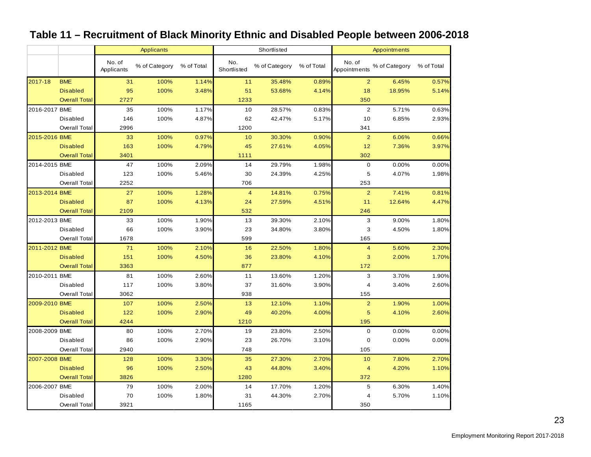#### No. of No. of % of Category % of Total No.<br>Applicants % of Category % of Total Shortlisted Shortlisted % of Category % of Total No. of Appointments % of Category % of Total 2017-18 BME 31 100% 1.14%<mark>,</mark> 11 35.48% 0.89%, 2 6.45% 0.57% Disabled 95 100% 3.48% 51 53.68% 4.14% 18 18.95% 5.14% <mark>Overall Total |</mark> 2727 | 2727 | 2002 | 2003 | 2003 | 2003 | 2014 2016-2017 BME 35 100% 1.17% 10 28.57% 0.83% 2 5.71% 0.63% Disabled 146 100% 4.87% 62 42.47% 5.17% 10 6.85% 2.93% Overall Total 2996 1200 341 2015-2016 BME 33 100% 0.97% 10 30.30% 0.90% 2 6.06% 0.66% Disabled 163 100% 4.79% 45 27.61% 4.05% 12 7.36% 3.97% Overall Total 3401 1111 302 2014-2015 BME 47 100% 2.09% 14 29.79% 1.98% 0 0.00% 0.00% Disabled 123 100% 5.46% 30 24.39% 4.25% 5 4.07% 1.98% Overall Total | 2252 253 | 706 253 2013-2014 BME 27 100% 1.28% 4 14.81% 0.75% 2 7.41% 0.81% Disabled 87 100% 4.13% 24 27.59% 4.51% 11 12.64% 4.47% <mark>Overall Total</mark> 2109 532 246 2012-2013 BME 33 100% 1.90% 13 39.30% 2.10% 3 9.00% 1.80% Disabled 66 100% 3.90% 23 34.80% 3.80% 3 4.50% 1.80% Overall Total | 1678 165 | 599 | 599 | 599 | 599 | 599 | 599 | 599 | 599 | 599 | 599 | 599 | 599 | 599 | 599 | 2011-2012 BME 71 100% 2.10% 16 22.50% 1.80% 4 5.60% 2.30% Disabled 151 100% 4.50% 36 23.80% 4.10% 3 2.00% 1.70% <mark>Overall Total</mark> 3363 877 172 2010-2011 BME 81 100% 2.60% 11 13.60% 1.20% 3 3.70% 1.90% Disabled 117 100% 3.80% 37 31.60% 3.90% 4 3.40% 2.60% Overall Total 3062 938 155 2009-2010 BME 107 100% 2.50% 13 12.10% 1.10% 2 1.90% 1.00% Disabled 122 100% 2.90% 49 40.20% 4.00% 5 4.10% 2.60% Overall Total 4244 1210 195 2008-2009 BME 80 100% 2.70% 19 23.80% 2.50% 0 0.00% 0.00% Disabled 86 100% 2.90% 23 26.70% 3.10% 0 0.00% 0.00% Overall Total 2940 748 105 2007-2008 BME 128 100% 3.30% 35 27.30% 2.70% 10 7.80% 2.70% Disabled 96 100% 2.50% 43 44.80% 3.40% 4 4.20% 1.10% <mark>Overall Total |</mark> 3826 372 | 3826 372 2006-2007 BME 79 100% 2.00% 14 17.70% 1.20% 5 6.30% 1.40% Disabled 70 100% 1.80% 31 44.30% 2.70% 4 5.70% 1.10% Overall Total 3921 1165 350 Applicants **Shortlisted Applicants** Appointments

#### **Table 11 – Recruitment of Black Minority Ethnic and Disabled People between 2006-2018**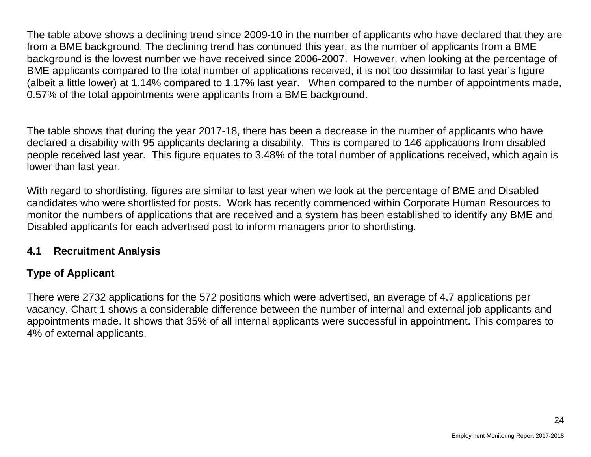The table above shows a declining trend since 2009-10 in the number of applicants who have declared that they are from a BME background. The declining trend has continued this year, as the number of applicants from a BME background is the lowest number we have received since 2006-2007. However, when looking at the percentage of BME applicants compared to the total number of applications received, it is not too dissimilar to last year's figure (albeit a little lower) at 1.14% compared to 1.17% last year. When compared to the number of appointments made, 0.57% of the total appointments were applicants from a BME background.

The table shows that during the year 2017-18, there has been a decrease in the number of applicants who have declared a disability with 95 applicants declaring a disability. This is compared to 146 applications from disabled people received last year. This figure equates to 3.48% of the total number of applications received, which again is lower than last year.

With regard to shortlisting, figures are similar to last year when we look at the percentage of BME and Disabled candidates who were shortlisted for posts. Work has recently commenced within Corporate Human Resources to monitor the numbers of applications that are received and a system has been established to identify any BME and Disabled applicants for each advertised post to inform managers prior to shortlisting.

#### **4.1 Recruitment Analysis**

# **Type of Applicant**

There were 2732 applications for the 572 positions which were advertised, an average of 4.7 applications per vacancy. Chart 1 shows a considerable difference between the number of internal and external job applicants and appointments made. It shows that 35% of all internal applicants were successful in appointment. This compares to 4% of external applicants.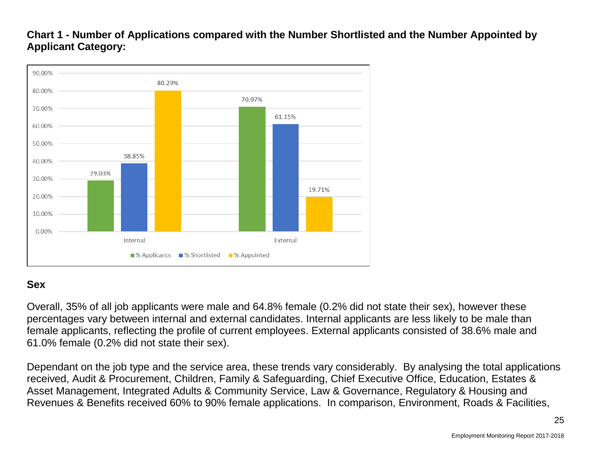### **Chart 1 - Number of Applications compared with the Number Shortlisted and the Number Appointed by Applicant Category:**



### **Sex**

Overall, 35% of all job applicants were male and 64.8% female (0.2% did not state their sex), however these percentages vary between internal and external candidates. Internal applicants are less likely to be male than female applicants, reflecting the profile of current employees. External applicants consisted of 38.6% male and 61.0% female (0.2% did not state their sex).

Dependant on the job type and the service area, these trends vary considerably. By analysing the total applications received, Audit & Procurement, Children, Family & Safeguarding, Chief Executive Office, Education, Estates & Asset Management, Integrated Adults & Community Service, Law & Governance, Regulatory & Housing and Revenues & Benefits received 60% to 90% female applications. In comparison, Environment, Roads & Facilities,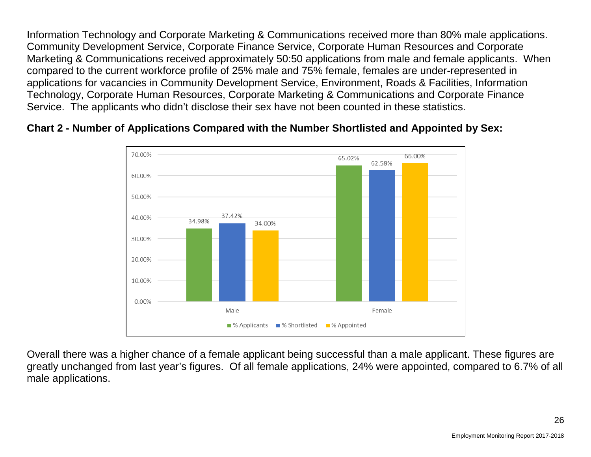Information Technology and Corporate Marketing & Communications received more than 80% male applications. Community Development Service, Corporate Finance Service, Corporate Human Resources and Corporate Marketing & Communications received approximately 50:50 applications from male and female applicants. When compared to the current workforce profile of 25% male and 75% female, females are under-represented in applications for vacancies in Community Development Service, Environment, Roads & Facilities, Information Technology, Corporate Human Resources, Corporate Marketing & Communications and Corporate Finance Service. The applicants who didn't disclose their sex have not been counted in these statistics.

#### **Chart 2 - Number of Applications Compared with the Number Shortlisted and Appointed by Sex:**



Overall there was a higher chance of a female applicant being successful than a male applicant. These figures are greatly unchanged from last year's figures. Of all female applications, 24% were appointed, compared to 6.7% of all male applications.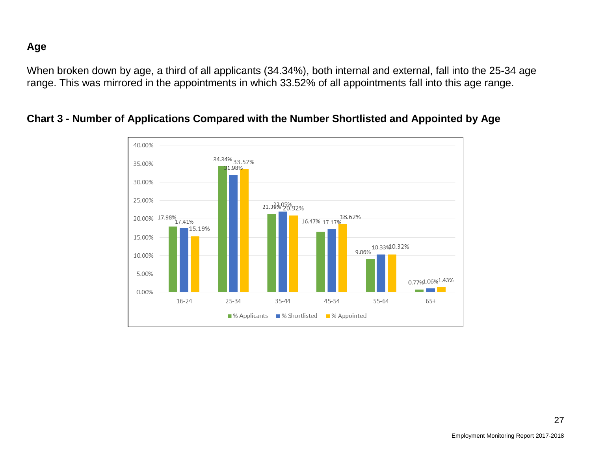#### **Age**

When broken down by age, a third of all applicants (34.34%), both internal and external, fall into the 25-34 age range. This was mirrored in the appointments in which 33.52% of all appointments fall into this age range.



#### **Chart 3 - Number of Applications Compared with the Number Shortlisted and Appointed by Age**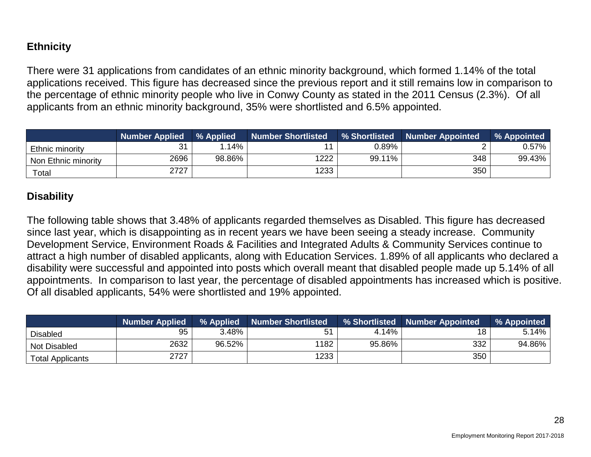### **Ethnicity**

There were 31 applications from candidates of an ethnic minority background, which formed 1.14% of the total applications received. This figure has decreased since the previous report and it still remains low in comparison to the percentage of ethnic minority people who live in Conwy County as stated in the 2011 Census (2.3%). Of all applicants from an ethnic minority background, 35% were shortlisted and 6.5% appointed.

|                        | <b>Number Applied</b> | % Applied | <b>Number Shortlisted</b> | % Shortlisted | <b>Number Appointed</b> | % Appointed |
|------------------------|-----------------------|-----------|---------------------------|---------------|-------------------------|-------------|
| Ethnic minority        | 31<br>ا ب             | .14%      |                           | 0.89%         |                         | 0.57%       |
| Non Ethnic minority    | 2696                  | 98.86%    | 222                       | 99.11%        | 348                     | 99.43%      |
| $\tau$ <sub>otal</sub> | 2727                  |           | 1233                      |               | 350                     |             |

#### **Disability**

The following table shows that 3.48% of applicants regarded themselves as Disabled. This figure has decreased since last year, which is disappointing as in recent years we have been seeing a steady increase. Community Development Service, Environment Roads & Facilities and Integrated Adults & Community Services continue to attract a high number of disabled applicants, along with Education Services. 1.89% of all applicants who declared a disability were successful and appointed into posts which overall meant that disabled people made up 5.14% of all appointments. In comparison to last year, the percentage of disabled appointments has increased which is positive. Of all disabled applicants, 54% were shortlisted and 19% appointed.

|                         | <b>Number Applied</b> |        | % Applied Number Shortlisted |        | % Shortlisted Number Appointed | % Appointed |
|-------------------------|-----------------------|--------|------------------------------|--------|--------------------------------|-------------|
| <b>Disabled</b>         | 95                    | 3.48%  | 51                           | 4.14%  | 18                             | 5.14%       |
| Not Disabled            | 2632                  | 96.52% | 1182                         | 95.86% | 332                            | 94.86%      |
| <b>Total Applicants</b> | 2727                  |        | 1233                         |        | 350                            |             |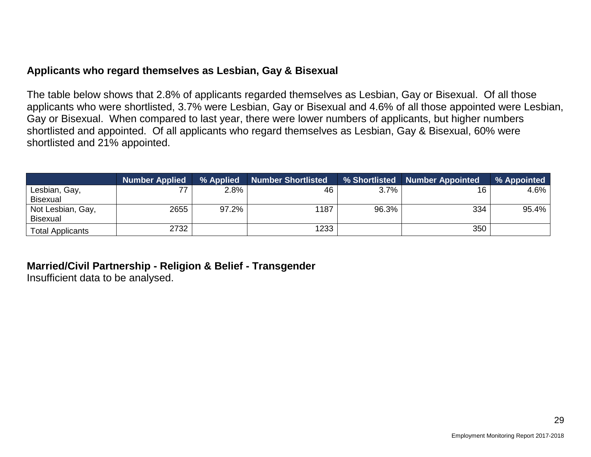#### **Applicants who regard themselves as Lesbian, Gay & Bisexual**

The table below shows that 2.8% of applicants regarded themselves as Lesbian, Gay or Bisexual. Of all those applicants who were shortlisted, 3.7% were Lesbian, Gay or Bisexual and 4.6% of all those appointed were Lesbian, Gay or Bisexual. When compared to last year, there were lower numbers of applicants, but higher numbers shortlisted and appointed. Of all applicants who regard themselves as Lesbian, Gay & Bisexual, 60% were shortlisted and 21% appointed.

|                         | <b>Number Applied</b> | % Applied | Number Shortlisted |       | % Shortlisted Number Appointed | % Appointed |
|-------------------------|-----------------------|-----------|--------------------|-------|--------------------------------|-------------|
| Lesbian, Gay,           | 77                    | 2.8%      | 46                 | 3.7%  | 16                             | 4.6%        |
| <b>Bisexual</b>         |                       |           |                    |       |                                |             |
| Not Lesbian, Gay,       | 2655                  | $97.2\%$  | 1187               | 96.3% | 334                            | 95.4%       |
| Bisexual                |                       |           |                    |       |                                |             |
| <b>Total Applicants</b> | 2732                  |           | 1233               |       | 350                            |             |

# **Married/Civil Partnership - Religion & Belief - Transgender**

Insufficient data to be analysed.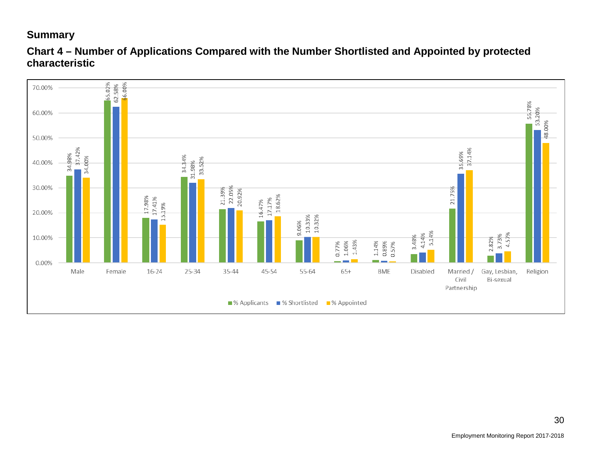#### **Summary**



#### **Chart 4 – Number of Applications Compared with the Number Shortlisted and Appointed by protected characteristic**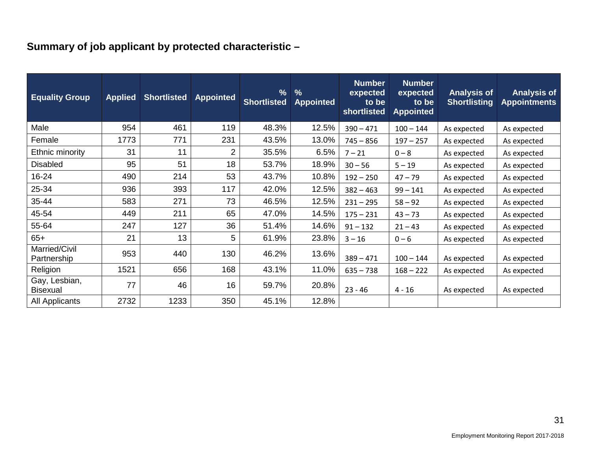# **Summary of job applicant by protected characteristic –**

| <b>Equality Group</b>            | <b>Applied</b> | <b>Shortlisted</b> | <b>Appointed</b> | $\frac{0}{0}$<br><b>Shortlisted</b> | $\frac{9}{6}$<br><b>Appointed</b> | <b>Number</b><br>expected<br>to be<br><b>shortlisted</b> | <b>Number</b><br>expected<br>to be<br><b>Appointed</b> | <b>Analysis of</b><br><b>Shortlisting</b> | <b>Analysis of</b><br><b>Appointments</b> |
|----------------------------------|----------------|--------------------|------------------|-------------------------------------|-----------------------------------|----------------------------------------------------------|--------------------------------------------------------|-------------------------------------------|-------------------------------------------|
| Male                             | 954            | 461                | 119              | 48.3%                               | 12.5%                             | $390 - 471$                                              | $100 - 144$                                            | As expected                               | As expected                               |
| Female                           | 1773           | 771                | 231              | 43.5%                               | 13.0%                             | $745 - 856$                                              | $197 - 257$                                            | As expected                               | As expected                               |
| Ethnic minority                  | 31             | 11                 | $\overline{2}$   | 35.5%                               | 6.5%                              | $7 - 21$                                                 | $0 - 8$                                                | As expected                               | As expected                               |
| <b>Disabled</b>                  | 95             | 51                 | 18               | 53.7%                               | 18.9%                             | $30 - 56$                                                | $5 - 19$                                               | As expected                               | As expected                               |
| 16-24                            | 490            | 214                | 53               | 43.7%                               | 10.8%                             | $192 - 250$                                              | $47 - 79$                                              | As expected                               | As expected                               |
| 25-34                            | 936            | 393                | 117              | 42.0%                               | 12.5%                             | $382 - 463$                                              | $99 - 141$                                             | As expected                               | As expected                               |
| 35-44                            | 583            | 271                | 73               | 46.5%                               | 12.5%                             | $231 - 295$                                              | $58 - 92$                                              | As expected                               | As expected                               |
| 45-54                            | 449            | 211                | 65               | 47.0%                               | 14.5%                             | $175 - 231$                                              | $43 - 73$                                              | As expected                               | As expected                               |
| 55-64                            | 247            | 127                | 36               | 51.4%                               | 14.6%                             | $91 - 132$                                               | $21 - 43$                                              | As expected                               | As expected                               |
| $65+$                            | 21             | 13                 | 5                | 61.9%                               | 23.8%                             | $3 - 16$                                                 | $0 - 6$                                                | As expected                               | As expected                               |
| Married/Civil<br>Partnership     | 953            | 440                | 130              | 46.2%                               | 13.6%                             | $389 - 471$                                              | $100 - 144$                                            | As expected                               | As expected                               |
| Religion                         | 1521           | 656                | 168              | 43.1%                               | 11.0%                             | $635 - 738$                                              | $168 - 222$                                            | As expected                               | As expected                               |
| Gay, Lesbian,<br><b>Bisexual</b> | 77             | 46                 | 16               | 59.7%                               | 20.8%                             | $23 - 46$                                                | $4 - 16$                                               | As expected                               | As expected                               |
| <b>All Applicants</b>            | 2732           | 1233               | 350              | 45.1%                               | 12.8%                             |                                                          |                                                        |                                           |                                           |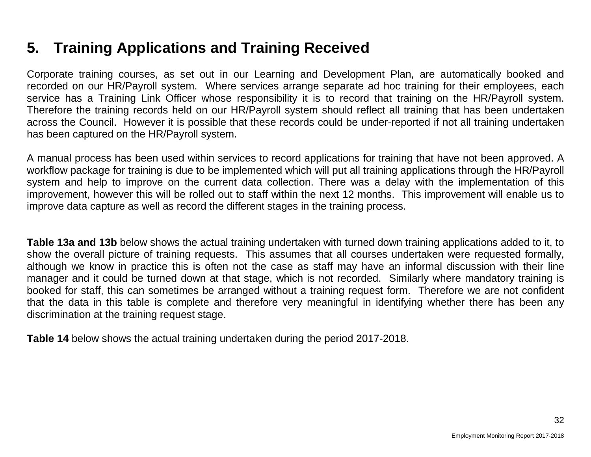# **5. Training Applications and Training Received**

Corporate training courses, as set out in our Learning and Development Plan, are automatically booked and recorded on our HR/Payroll system. Where services arrange separate ad hoc training for their employees, each service has a Training Link Officer whose responsibility it is to record that training on the HR/Payroll system. Therefore the training records held on our HR/Payroll system should reflect all training that has been undertaken across the Council. However it is possible that these records could be under-reported if not all training undertaken has been captured on the HR/Payroll system.

A manual process has been used within services to record applications for training that have not been approved. A workflow package for training is due to be implemented which will put all training applications through the HR/Payroll system and help to improve on the current data collection. There was a delay with the implementation of this improvement, however this will be rolled out to staff within the next 12 months. This improvement will enable us to improve data capture as well as record the different stages in the training process.

**Table 13a and 13b** below shows the actual training undertaken with turned down training applications added to it, to show the overall picture of training requests. This assumes that all courses undertaken were requested formally, although we know in practice this is often not the case as staff may have an informal discussion with their line manager and it could be turned down at that stage, which is not recorded. Similarly where mandatory training is booked for staff, this can sometimes be arranged without a training request form. Therefore we are not confident that the data in this table is complete and therefore very meaningful in identifying whether there has been any discrimination at the training request stage.

**Table 14** below shows the actual training undertaken during the period 2017-2018.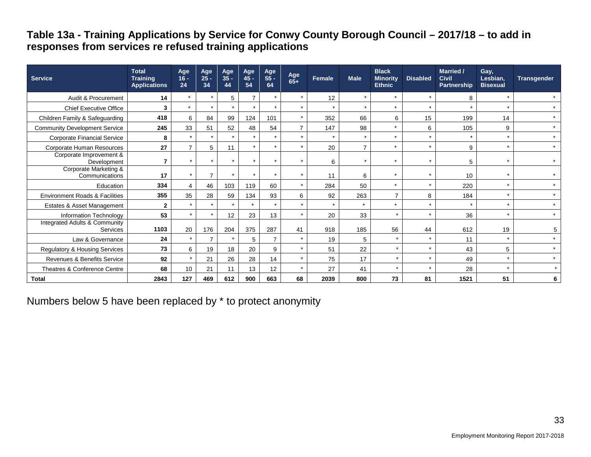#### **Table 13a - Training Applications by Service for Conwy County Borough Council – 2017/18 – to add in responses from services re refused training applications**

| <b>Service</b>                            | <b>Total</b><br><b>Training</b><br><b>Applications</b> | Age<br>$16 -$<br>24 | Age<br>$25 -$<br>34 | Age<br>$35 -$<br>44 | Age<br>$45 -$<br>54 | Age<br>55 -<br>64 | Age<br>$65+$   | Female  | <b>Male</b>    | <b>Black</b><br><b>Minority</b><br><b>Ethnic</b> | <b>Disabled</b> | Married /<br><b>Civil</b><br>Partnership | Gay,<br>Lesbian,<br><b>Bisexual</b> | <b>Transgender</b> |
|-------------------------------------------|--------------------------------------------------------|---------------------|---------------------|---------------------|---------------------|-------------------|----------------|---------|----------------|--------------------------------------------------|-----------------|------------------------------------------|-------------------------------------|--------------------|
| Audit & Procurement                       | 14                                                     | $\star$             |                     | 5                   |                     | $\star$           | $\star$        | 12      | $\star$        | $\star$                                          | $\star$         | 8                                        |                                     | $\star$            |
| <b>Chief Executive Office</b>             | 3                                                      | $\star$             | $\star$             | $\star$             |                     | $\star$           | $\star$        | $\star$ | $\star$        | $\star$                                          | $\star$         | $\star$                                  | $\star$                             | $\star$            |
| Children Family & Safeguarding            | 418                                                    | 6                   | 84                  | 99                  | 124                 | 101               | $\star$        | 352     | 66             | 6                                                | 15              | 199                                      | 14                                  | $\star$            |
| <b>Community Development Service</b>      | 245                                                    | 33                  | 51                  | 52                  | 48                  | 54                | $\overline{7}$ | 147     | 98             | $\ddot{\phantom{0}}$                             | 6               | 105                                      | 9                                   | $\star$            |
| <b>Corporate Financial Service</b>        | 8                                                      | $\star$             |                     |                     |                     |                   | $\star$        |         | $\star$        |                                                  | $\star$         | $\star$                                  | $\star$                             | $\star$            |
| Corporate Human Resources                 | 27                                                     |                     | 5                   | 11                  |                     | $\star$           | $\star$        | 20      | $\overline{7}$ | $\ddot{\phantom{0}}$                             | $\star$         | 9                                        | $\star$                             | $\star$            |
| Corporate Improvement &<br>Development    |                                                        |                     | $\star$             | $\star$             |                     | $\star$           | $\star$        | 6       | $\star$        |                                                  | $\star$         | 5                                        | ÷                                   | $\star$            |
| Corporate Marketing &<br>Communications   | 17                                                     |                     | $\overline{ }$      |                     |                     |                   | $\star$        | 11      | 6              |                                                  | $\star$         | 10                                       |                                     | $\star$            |
| Education                                 | 334                                                    |                     | 46                  | 103                 | 119                 | 60                | $\star$        | 284     | 50             | $\star$                                          | $\star$         | 220                                      | $\star$                             | $\star$            |
| <b>Environment Roads &amp; Facilities</b> | 355                                                    | 35                  | 28                  | 59                  | 134                 | 93                | 6              | 92      | 263            | 7                                                | 8               | 184                                      | $\star$                             | $\star$            |
| Estates & Asset Management                | $\mathbf{2}$                                           |                     |                     |                     |                     |                   | $\star$        |         | $\star$        |                                                  | $\star$         | $\star$                                  | $\star$                             | $\star$            |
| Information Technology                    | 53                                                     |                     | $\star$             | 12                  | 23                  | 13                | $\star$        | 20      | 33             | $\star$                                          | $\star$         | 36                                       | $\star$                             | $\star$            |
| Integrated Adults & Community<br>Services | 1103                                                   | 20                  | 176                 | 204                 | 375                 | 287               | 41             | 918     | 185            | 56                                               | 44              | 612                                      | 19                                  | 5                  |
| Law & Governance                          | 24                                                     |                     | 7                   |                     | 5                   | 7                 | $\star$        | 19      | 5              | $\star$                                          | $\star$         | 11                                       | $\star$                             | $\star$            |
| Regulatory & Housing Services             | 73                                                     | 6                   | 19                  | 18                  | 20                  | 9                 | $\star$        | 51      | 22             | $\star$                                          | $\star$         | 43                                       | 5                                   | $\star$            |
| Revenues & Benefits Service               | 92                                                     | $\star$             | 21                  | 26                  | 28                  | 14                | $\star$        | 75      | 17             | $\star$                                          | $\star$         | 49                                       | $\star$                             | $\star$            |
| Theatres & Conference Centre              | 68                                                     | 10                  | 21                  | 11                  | 13                  | 12                | $\star$        | 27      | 41             |                                                  | $\star$         | 28                                       | $\star$                             | $\star$            |
| <b>Total</b>                              | 2843                                                   | 127                 | 469                 | 612                 | 900                 | 663               | 68             | 2039    | 800            | 73                                               | 81              | 1521                                     | 51                                  | 6                  |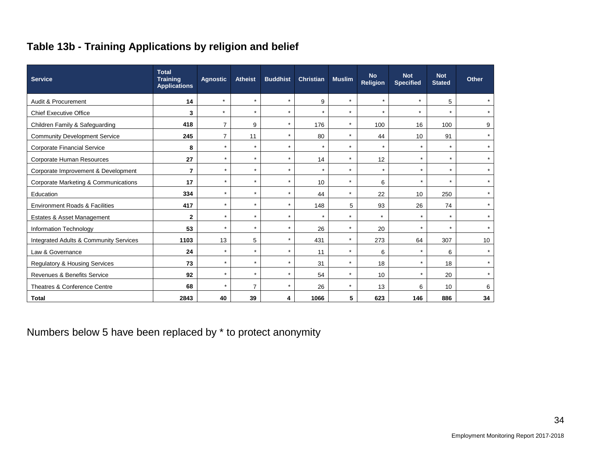# **Table 13b - Training Applications by religion and belief**

| <b>Service</b>                                  | <b>Total</b><br><b>Training</b><br><b>Applications</b> | <b>Agnostic</b> | <b>Atheist</b> | <b>Buddhist</b> | <b>Christian</b> | <b>Muslim</b> | <b>No</b><br><b>Religion</b> | <b>Not</b><br><b>Specified</b> | <b>Not</b><br><b>Stated</b> | <b>Other</b> |
|-------------------------------------------------|--------------------------------------------------------|-----------------|----------------|-----------------|------------------|---------------|------------------------------|--------------------------------|-----------------------------|--------------|
| Audit & Procurement                             | 14                                                     | $\star$         | $\star$        | $\star$         | 9                | $\star$       | $\star$                      | $\star$                        | 5                           |              |
| <b>Chief Executive Office</b>                   | 3                                                      | $\star$         | $\star$        | $\star$         | $\star$          | $\star$       | $\star$                      | $\star$                        | $\star$                     |              |
| Children Family & Safeguarding                  | 418                                                    | 7               | 9              | $\star$         | 176              | *             | 100                          | 16                             | 100                         | 9            |
| <b>Community Development Service</b>            | 245                                                    | $\overline{7}$  | 11             | $\star$         | 80               | $\star$       | 44                           | 10                             | 91                          | $\star$      |
| <b>Corporate Financial Service</b>              | 8                                                      | $\star$         | $\star$        | $\star$         | $\star$          | $\star$       | $\star$                      | $\star$                        | $\star$                     |              |
| <b>Corporate Human Resources</b>                | 27                                                     | $\star$         | $\star$        | $\star$         | 14               | $\star$       | 12                           | $\star$                        | $\star$                     |              |
| Corporate Improvement & Development             | $\overline{7}$                                         | $\star$         | $\star$        | $\star$         | $\star$          | $\star$       | $\star$                      | $\star$                        | $\star$                     |              |
| <b>Corporate Marketing &amp; Communications</b> | 17                                                     | $\star$         | $\star$        | $\star$         | 10               | $\star$       | 6                            | $\star$                        | $\star$                     |              |
| Education                                       | 334                                                    | $\star$         | $\star$        | $\star$         | 44               | $\star$       | 22                           | 10                             | 250                         |              |
| <b>Environment Roads &amp; Facilities</b>       | 417                                                    | $\star$         | $\star$        | $\star$         | 148              | 5             | 93                           | 26                             | 74                          |              |
| Estates & Asset Management                      | $\mathbf 2$                                            | $\star$         | $\star$        | $\star$         | $\star$          | $\star$       | $\star$                      | $\star$                        | $\star$                     |              |
| Information Technology                          | 53                                                     | $\star$         | $\star$        | $\star$         | 26               | $\star$       | 20                           | $\star$                        | $\star$                     | $\star$      |
| Integrated Adults & Community Services          | 1103                                                   | 13              | 5              | $\star$         | 431              | $\star$       | 273                          | 64                             | 307                         | 10           |
| Law & Governance                                | 24                                                     | $\star$         | $\star$        | $\star$         | 11               | $\star$       | 6                            | $\star$                        | 6                           | $\star$      |
| <b>Regulatory &amp; Housing Services</b>        | 73                                                     | $\star$         | $\star$        | $\star$         | 31               | $\star$       | 18                           | $\star$                        | 18                          |              |
| <b>Revenues &amp; Benefits Service</b>          | 92                                                     | $\star$         | $\star$        | $\star$         | 54               | $\star$       | 10                           | $\star$                        | 20                          |              |
| Theatres & Conference Centre                    | 68                                                     | $\star$         | $\overline{7}$ | $\star$         | 26               | $\star$       | 13                           | 6                              | 10                          | 6            |
| <b>Total</b>                                    | 2843                                                   | 40              | 39             | 4               | 1066             | 5             | 623                          | 146                            | 886                         | 34           |

Numbers below 5 have been replaced by \* to protect anonymity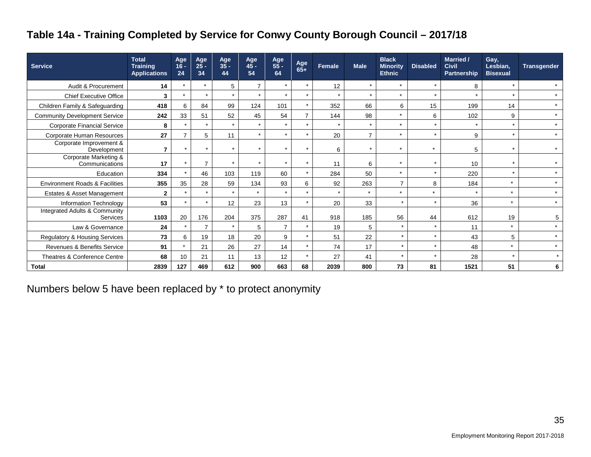# **Table 14a - Training Completed by Service for Conwy County Borough Council – 2017/18**

| <b>Service</b>                            | <b>Total</b><br><b>Training</b><br><b>Applications</b> | Age<br>$16 -$<br>24  | Age<br>$2\bar{5}$ -<br>34 | Age<br>$35 -$<br>44 | Age<br>$45 -$<br>54 | Age<br>55 -<br>64 | Age<br>$65+$             | Female  | <b>Male</b>    | <b>Black</b><br><b>Minority</b><br><b>Ethnic</b> | <b>Disabled</b>      | Married /<br><b>Civil</b><br><b>Partnership</b> | Gay,<br>Lesbian,<br><b>Bisexual</b> | <b>Transgender</b> |
|-------------------------------------------|--------------------------------------------------------|----------------------|---------------------------|---------------------|---------------------|-------------------|--------------------------|---------|----------------|--------------------------------------------------|----------------------|-------------------------------------------------|-------------------------------------|--------------------|
| Audit & Procurement                       | 14                                                     |                      | $\star$                   | 5                   | 7                   | $\star$           | $\star$                  | 12      | $\star$        | $\star$                                          | $\star$              | 8                                               |                                     | $\star$            |
| <b>Chief Executive Office</b>             | 3                                                      | $\star$              | $\star$                   | $\star$             | $\star$             | $\star$           | $\star$                  | $\star$ | $\star$        | $\star$                                          | $\star$              | $\star$                                         | $\star$                             | $\star$            |
| Children Family & Safeguarding            | 418                                                    | 6                    | 84                        | 99                  | 124                 | 101               | $\star$                  | 352     | 66             | 6                                                | 15                   | 199                                             | 14                                  | $\star$            |
| <b>Community Development Service</b>      | 242                                                    | 33                   | 51                        | 52                  | 45                  | 54                |                          | 144     | 98             | $\star$                                          | 6                    | 102                                             | 9                                   | $\star$            |
| <b>Corporate Financial Service</b>        | 8                                                      |                      | $\star$                   | $\star$             | $\star$             | ÷                 | $\star$                  | $\star$ | $\star$        | $\star$                                          | $\star$              |                                                 | $\star$                             | $\star$            |
| Corporate Human Resources                 | 27                                                     |                      | 5                         | 11                  | $\star$             | $\star$           | $\ddot{\phantom{1}}$     | 20      | $\overline{ }$ | $\star$                                          | $\star$              | 9                                               | $\star$                             | $\star$            |
| Corporate Improvement &<br>Development    | 7                                                      | $\star$              | $\star$                   | $\star$             | $\star$             | $\star$           | $\star$                  | 6       | $\star$        | $\star$                                          | $\star$              | 5                                               | $\star$                             | $\star$            |
| Corporate Marketing &<br>Communications   | 17                                                     | $\ddot{\phantom{1}}$ | 7                         | $\star$             | $\star$             | ÷                 | $\ddot{\phantom{0}}$     | 11      | 6              | $\star$                                          | $\ddot{\phantom{1}}$ | 10                                              | $\star$                             | $\star$            |
| Education                                 | 334                                                    |                      | 46                        | 103                 | 119                 | 60                |                          | 284     | 50             | $\star$                                          | $\star$              | 220                                             | $\star$                             | $\star$            |
| <b>Environment Roads &amp; Facilities</b> | 355                                                    | 35                   | 28                        | 59                  | 134                 | 93                | 6                        | 92      | 263            | $\overline{7}$                                   | 8                    | 184                                             | $\star$                             | $\star$            |
| Estates & Asset Management                | $\overline{2}$                                         | $\star$              | $\star$                   | $\star$             | $\star$             | $\star$           | $\star$                  | $\star$ | $\star$        | $\star$                                          | $\star$              |                                                 | $\star$                             | $\star$            |
| Information Technology                    | 53                                                     | $\star$              | $\star$                   | 12                  | 23                  | 13                |                          | 20      | 33             | $\star$                                          | $\star$              | 36                                              | $\star$                             | $\star$            |
| Integrated Adults & Community<br>Services | 1103                                                   | 20                   | 176                       | 204                 | 375                 | 287               | 41                       | 918     | 185            | 56                                               | 44                   | 612                                             | 19                                  | 5                  |
| Law & Governance                          | 24                                                     |                      | 7                         | $\star$             | 5                   | $\overline{7}$    | $\overline{\phantom{a}}$ | 19      | 5              | $\star$                                          | $\star$              | 11                                              | $\star$                             | $\star$            |
| Regulatory & Housing Services             | 73                                                     | 6                    | 19                        | 18                  | 20                  | 9                 |                          | 51      | 22             | $\star$                                          | $\star$              | 43                                              | 5                                   | $\star$            |
| Revenues & Benefits Service               | 91                                                     |                      | 21                        | 26                  | 27                  | 14                | $\ddot{\phantom{1}}$     | 74      | 17             | $\star$                                          | $\star$              | 48                                              | $\star$                             | $\star$            |
| Theatres & Conference Centre              | 68                                                     | 10                   | 21                        | 11                  | 13                  | 12                | $\star$                  | 27      | 41             | $\star$                                          | $\star$              | 28                                              | $\star$                             | $\star$            |
| <b>Total</b>                              | 2839                                                   | 127                  | 469                       | 612                 | 900                 | 663               | 68                       | 2039    | 800            | 73                                               | 81                   | 1521                                            | 51                                  | 6                  |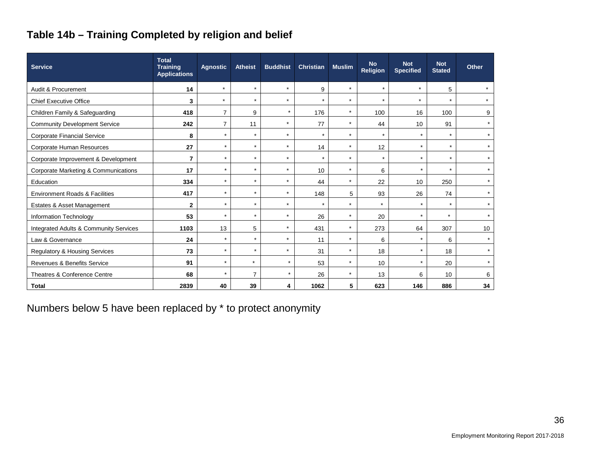# **Table 14b – Training Completed by religion and belief**

| <b>Service</b>                            | <b>Total</b><br><b>Training</b><br><b>Applications</b> | <b>Agnostic</b> | <b>Atheist</b> | <b>Buddhist</b> | <b>Christian</b> | <b>Muslim</b> | <b>No</b><br><b>Religion</b> | <b>Not</b><br><b>Specified</b> | <b>Not</b><br><b>Stated</b> | <b>Other</b> |
|-------------------------------------------|--------------------------------------------------------|-----------------|----------------|-----------------|------------------|---------------|------------------------------|--------------------------------|-----------------------------|--------------|
| Audit & Procurement                       | 14                                                     | $\star$         | $\star$        | $\star$         | 9                | $\star$       | $\star$                      | $\star$                        | 5                           |              |
| <b>Chief Executive Office</b>             | 3                                                      | $\star$         | $\star$        | $\star$         | $\star$          | $\star$       | $\star$                      | $\star$                        | $\star$                     | $\star$      |
| Children Family & Safeguarding            | 418                                                    | $\overline{7}$  | 9              | $\star$         | 176              | $\star$       | 100                          | 16                             | 100                         | 9            |
| <b>Community Development Service</b>      | 242                                                    | $\overline{7}$  | 11             | $\star$         | 77               | $\star$       | 44                           | 10                             | 91                          | $\star$      |
| Corporate Financial Service               | 8                                                      | $\star$         | $\star$        | $\star$         | $^\star$         | $\star$       | $\star$                      | $\star$                        | $\star$                     | $\star$      |
| <b>Corporate Human Resources</b>          | 27                                                     | $\star$         | $\star$        | $\star$         | 14               | $\star$       | 12                           | $\star$                        | $\star$                     | $\star$      |
| Corporate Improvement & Development       | $\overline{7}$                                         | $\star$         | $\star$        | $\star$         | $\star$          | $\star$       | $\star$                      | $\star$                        | $\star$                     | $\star$      |
| Corporate Marketing & Communications      | 17                                                     | $\star$         | $\star$        | $\star$         | 10               | $\star$       | 6                            | $\star$                        | $\star$                     | $\star$      |
| Education                                 | 334                                                    | $\star$         | $\star$        | $\star$         | 44               | $\star$       | 22                           | 10 <sup>1</sup>                | 250                         | $\star$      |
| <b>Environment Roads &amp; Facilities</b> | 417                                                    | $\star$         | $\star$        | $\star$         | 148              | 5             | 93                           | 26                             | 74                          | $\star$      |
| Estates & Asset Management                | $\mathbf{2}$                                           | $\star$         | $\star$        | $\star$         | $\star$          | $\star$       | $\star$                      | $\star$                        | $\star$                     | $\star$      |
| Information Technology                    | 53                                                     | $\star$         | $\star$        | $\star$         | 26               | $\star$       | 20                           | $\star$                        | $\star$                     | $\star$      |
| Integrated Adults & Community Services    | 1103                                                   | 13              | 5              | $\star$         | 431              | $\star$       | 273                          | 64                             | 307                         | 10           |
| Law & Governance                          | 24                                                     | $\star$         | $\star$        | $\star$         | 11               | $\star$       | 6                            | $\star$                        | 6                           | $\star$      |
| <b>Regulatory &amp; Housing Services</b>  | 73                                                     | $\star$         | $\star$        | $\star$         | 31               | $\star$       | 18                           | $\star$                        | 18                          | $\star$      |
| <b>Revenues &amp; Benefits Service</b>    | 91                                                     | $\star$         | $\star$        | $\star$         | 53               | $\star$       | 10                           | $\star$                        | 20                          | $\star$      |
| Theatres & Conference Centre              | 68                                                     | $\star$         | $\overline{7}$ | $\star$         | 26               | $\star$       | 13                           | 6                              | 10                          | 6            |
| <b>Total</b>                              | 2839                                                   | 40              | 39             | 4               | 1062             | 5             | 623                          | 146                            | 886                         | 34           |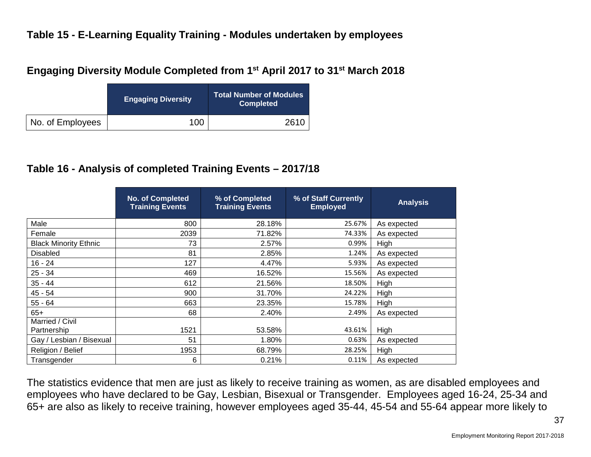#### **Table 15 - E-Learning Equality Training - Modules undertaken by employees**

#### **Engaging Diversity Module Completed from 1st April 2017 to 31st March 2018**

|                  | <b>Engaging Diversity</b> | Total Number of Modules<br><b>Completed</b> |
|------------------|---------------------------|---------------------------------------------|
| No. of Employees | 100                       | 2610                                        |

#### **Table 16 - Analysis of completed Training Events – 2017/18**

|                              | No. of Completed<br><b>Training Events</b> | % of Completed<br><b>Training Events</b> | % of Staff Currently<br><b>Employed</b> | <b>Analysis</b> |
|------------------------------|--------------------------------------------|------------------------------------------|-----------------------------------------|-----------------|
| Male                         | 800                                        | 28.18%                                   | 25.67%                                  | As expected     |
| Female                       | 2039                                       | 71.82%                                   | 74.33%                                  | As expected     |
| <b>Black Minority Ethnic</b> | 73                                         | 2.57%                                    | 0.99%                                   | High            |
| <b>Disabled</b>              | 81                                         | 2.85%                                    | 1.24%                                   | As expected     |
| $16 - 24$                    | 127                                        | 4.47%                                    | 5.93%                                   | As expected     |
| $25 - 34$                    | 469                                        | 16.52%                                   | 15.56%                                  | As expected     |
| $35 - 44$                    | 612                                        | 21.56%                                   | 18.50%                                  | High            |
| $45 - 54$                    | 900                                        | 31.70%                                   | 24.22%                                  | High            |
| $55 - 64$                    | 663                                        | 23.35%                                   | 15.78%                                  | High            |
| $65+$                        | 68                                         | 2.40%                                    | 2.49%                                   | As expected     |
| Married / Civil              |                                            |                                          |                                         |                 |
| Partnership                  | 1521                                       | 53.58%                                   | 43.61%                                  | High            |
| Gay / Lesbian / Bisexual     | 51                                         | 1.80%                                    | 0.63%                                   | As expected     |
| Religion / Belief            | 1953                                       | 68.79%                                   | 28.25%                                  | High            |
| Transgender                  | 6                                          | 0.21%                                    | 0.11%                                   | As expected     |

The statistics evidence that men are just as likely to receive training as women, as are disabled employees and employees who have declared to be Gay, Lesbian, Bisexual or Transgender. Employees aged 16-24, 25-34 and 65+ are also as likely to receive training, however employees aged 35-44, 45-54 and 55-64 appear more likely to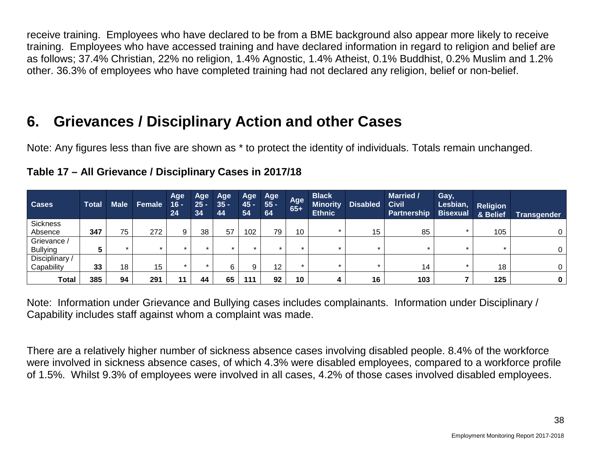receive training. Employees who have declared to be from a BME background also appear more likely to receive training. Employees who have accessed training and have declared information in regard to religion and belief are as follows; 37.4% Christian, 22% no religion, 1.4% Agnostic, 1.4% Atheist, 0.1% Buddhist, 0.2% Muslim and 1.2% other. 36.3% of employees who have completed training had not declared any religion, belief or non-belief.

# **6. Grievances / Disciplinary Action and other Cases**

Note: Any figures less than five are shown as \* to protect the identity of individuals. Totals remain unchanged.

| <b>Cases</b>    | <b>Total</b> | <b>Male</b> | Female  | Age<br>$16 -$<br>24 | <b>Age</b><br>$25 -$<br>34 | Age<br>$35 -$<br>44 | Age<br>$45 -$<br>54 | Age<br>$55 -$<br>64 | Age<br>$65+$ | <b>Black</b><br><b>Minority</b><br><b>Ethnic</b> | <b>Disabled</b> | <b>Married /</b><br><b>Civil</b><br><b>Partnership</b> | Gay,<br>Lesbian,<br><b>Bisexual</b> | <b>Religion</b><br>& Belief | Transgender |
|-----------------|--------------|-------------|---------|---------------------|----------------------------|---------------------|---------------------|---------------------|--------------|--------------------------------------------------|-----------------|--------------------------------------------------------|-------------------------------------|-----------------------------|-------------|
| <b>Sickness</b> |              |             |         |                     |                            |                     |                     |                     |              |                                                  |                 |                                                        |                                     |                             |             |
| Absence         | 347          | 75          | 272     | 9                   | 38                         | 57                  | 102                 | 79                  | 10           |                                                  | 15              | 85                                                     |                                     | 105                         |             |
| Grievance /     |              |             |         |                     |                            |                     |                     |                     |              |                                                  |                 |                                                        |                                     |                             |             |
| <b>Bullying</b> |              |             | $\star$ | $\star$             |                            | $\star$             | $\star$             |                     |              |                                                  |                 |                                                        | ÷                                   |                             |             |
| Disciplinary /  |              |             |         |                     |                            |                     |                     |                     |              |                                                  |                 |                                                        |                                     |                             |             |
| Capability      | 33           | 18          | 15      | $\star$             |                            | 6                   | 9                   | 12                  | $\star$      |                                                  | ÷               | 14                                                     |                                     | 18                          | 0           |
| <b>Total</b>    | 385          | 94          | 291     | 11                  | 44                         | 65                  | 111                 | 92                  | 10           |                                                  | 16              | 103                                                    |                                     | 125                         | 0           |

# **Table 17 – All Grievance / Disciplinary Cases in 2017/18**

Note: Information under Grievance and Bullying cases includes complainants. Information under Disciplinary / Capability includes staff against whom a complaint was made.

There are a relatively higher number of sickness absence cases involving disabled people. 8.4% of the workforce were involved in sickness absence cases, of which 4.3% were disabled employees, compared to a workforce profile of 1.5%. Whilst 9.3% of employees were involved in all cases, 4.2% of those cases involved disabled employees.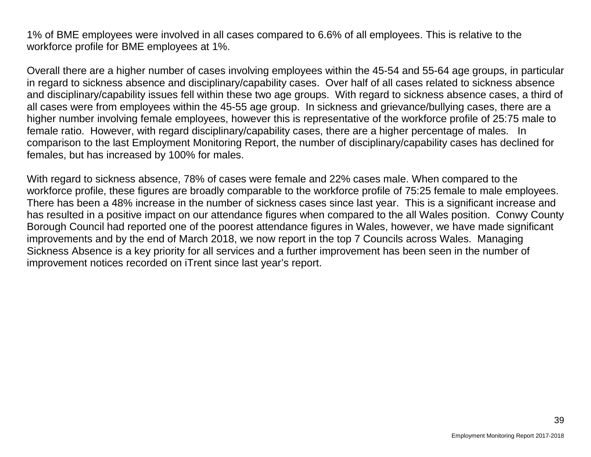1% of BME employees were involved in all cases compared to 6.6% of all employees. This is relative to the workforce profile for BME employees at 1%.

Overall there are a higher number of cases involving employees within the 45-54 and 55-64 age groups, in particular in regard to sickness absence and disciplinary/capability cases. Over half of all cases related to sickness absence and disciplinary/capability issues fell within these two age groups. With regard to sickness absence cases, a third of all cases were from employees within the 45-55 age group. In sickness and grievance/bullying cases, there are a higher number involving female employees, however this is representative of the workforce profile of 25:75 male to female ratio. However, with regard disciplinary/capability cases, there are a higher percentage of males. In comparison to the last Employment Monitoring Report, the number of disciplinary/capability cases has declined for females, but has increased by 100% for males.

With regard to sickness absence, 78% of cases were female and 22% cases male. When compared to the workforce profile, these figures are broadly comparable to the workforce profile of 75:25 female to male employees. There has been a 48% increase in the number of sickness cases since last year. This is a significant increase and has resulted in a positive impact on our attendance figures when compared to the all Wales position. Conwy County Borough Council had reported one of the poorest attendance figures in Wales, however, we have made significant improvements and by the end of March 2018, we now report in the top 7 Councils across Wales. Managing Sickness Absence is a key priority for all services and a further improvement has been seen in the number of improvement notices recorded on iTrent since last year's report.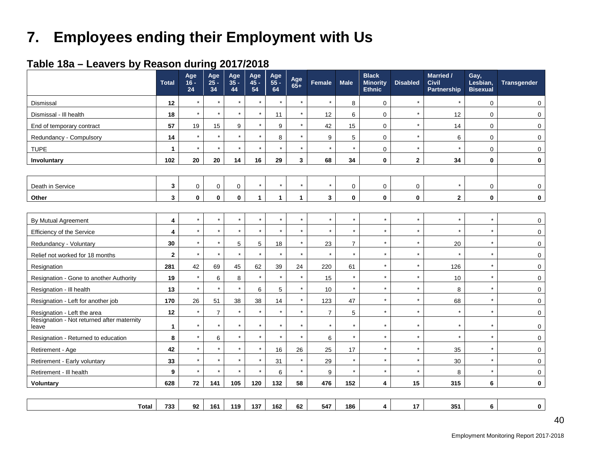# **7. Employees ending their Employment with Us**

#### **Table 18a – Leavers by Reason during 2017/2018**

|                                                     | <b>Total</b>            | Age<br>$16 -$<br>24 | Age<br>$25 -$<br>34 | Age<br>$35 -$<br>44 | Age<br>$45 -$<br>54 | Age<br>55 -<br>64 | Age<br>$65+$ | Female         | <b>Male</b>    | <b>Black</b><br><b>Minority</b><br><b>Ethnic</b> | <b>Disabled</b> | <b>Married /</b><br><b>Civil</b><br>Partnership | Gay,<br>Lesbian,<br><b>Bisexual</b> | <b>Transgender</b> |
|-----------------------------------------------------|-------------------------|---------------------|---------------------|---------------------|---------------------|-------------------|--------------|----------------|----------------|--------------------------------------------------|-----------------|-------------------------------------------------|-------------------------------------|--------------------|
| Dismissal                                           | 12                      | $\star$             | $\star$             | $\star$             | $\star$             | $\star$           | $\star$      | $\star$        | 8              | 0                                                | $\star$         | $\star$                                         | $\mathbf 0$                         | $\mathsf 0$        |
| Dismissal - III health                              | 18                      | $\star$             | $\star$             | $\star$             |                     | 11                | $\star$      | 12             | 6              | $\mathbf 0$                                      | $\star$         | 12                                              | $\mathbf 0$                         | $\mathbf 0$        |
| End of temporary contract                           | 57                      | 19                  | 15                  | 9                   |                     | 9                 | $\star$      | 42             | 15             | $\mathbf 0$                                      | $\star$         | 14                                              | $\mathbf 0$                         | $\mathbf 0$        |
| Redundancy - Compulsory                             | 14                      | $\star$             |                     | $\star$             |                     | 8                 | $\star$      | 9              | 5              | 0                                                | $\star$         | 6                                               | $\mathbf 0$                         | $\mathbf 0$        |
| <b>TUPE</b>                                         | $\mathbf{1}$            | $\star$             | $\star$             | $\star$             |                     | $\star$           | $\star$      | $\star$        | $\star$        | 0                                                | $\star$         | $\star$                                         | $\mathbf 0$                         | $\mathbf 0$        |
| Involuntary                                         | 102                     | 20                  | 20                  | 14                  | 16                  | 29                | 3            | 68             | 34             | 0                                                | $\mathbf{2}$    | 34                                              | $\bf{0}$                            | $\bf{0}$           |
|                                                     |                         |                     |                     |                     |                     |                   |              |                |                |                                                  |                 |                                                 |                                     |                    |
| Death in Service                                    | $\mathbf{3}$            | $\mathbf 0$         | $\mathbf 0$         | $\mathbf 0$         | $\star$             | $^\star$          | $\star$      | $\star$        | 0              | 0                                                | $\mathbf 0$     | $\star$                                         | $\mathbf 0$                         | $\mathbf 0$        |
| Other                                               | $\mathbf{3}$            | $\mathbf{0}$        | $\mathbf 0$         | $\mathbf 0$         | 1                   | $\mathbf{1}$      | $\mathbf{1}$ | $\mathbf{3}$   | $\mathbf{0}$   | $\mathbf{0}$                                     | $\mathbf 0$     | $\mathbf{2}$                                    | $\mathbf 0$                         | $\mathbf 0$        |
|                                                     |                         |                     |                     |                     |                     |                   |              |                |                |                                                  |                 |                                                 |                                     |                    |
| By Mutual Agreement                                 | $\overline{\mathbf{4}}$ | $\star$             | $\star$             | $\star$             |                     | $\star$           | $\star$      | $\star$        | $\star$        | $\star$                                          | $\star$         | $\star$                                         | $\star$                             | $\Omega$           |
| <b>Efficiency of the Service</b>                    | $\overline{\mathbf{4}}$ | $\star$             | $\star$             | $\star$             |                     | $\star$           | $\star$      | $\star$        |                | $\star$                                          | $\star$         | $\star$                                         | $\star$                             | $\mathbf 0$        |
| Redundancy - Voluntary                              | 30                      | $\star$             | $\star$             | $\overline{5}$      | 5                   | 18                | $\star$      | 23             | $\overline{7}$ | $\star$                                          | $\star$         | 20                                              | $\star$                             | $\mathbf 0$        |
| Relief not worked for 18 months                     | $\mathbf{2}$            | $\star$             | $\star$             | $\star$             | $\star$             | $\star$           | $\star$      | $\star$        | $\star$        | $\star$                                          | $\star$         | $\star$                                         | $\star$                             | $\mathbf 0$        |
| Resignation                                         | 281                     | 42                  | 69                  | 45                  | 62                  | 39                | 24           | 220            | 61             | $\star$                                          | $\star$         | 126                                             | $\star$                             | $\mathbf 0$        |
| Resignation - Gone to another Authority             | 19                      | $\star$             | 6                   | $\bf 8$             | $\star$             | $\star$           | $\star$      | 15             | $\star$        | $\star$                                          | $\star$         | $10$                                            | $\star$                             | $\mathbf 0$        |
| Resignation - Ill health                            | 13                      | $\star$             | $\star$             | $\star$             | 6                   | 5                 | $\star$      | 10             |                | $\star$                                          | $\star$         | 8                                               | $\star$                             | $\mathbf 0$        |
| Resignation - Left for another job                  | 170                     | 26                  | 51                  | 38                  | 38                  | 14                | $\star$      | 123            | 47             | $\star$                                          | $\star$         | 68                                              | $\star$                             | $\mathbf 0$        |
| Resignation - Left the area                         | 12                      | $\star$             | $\overline{7}$      |                     |                     | $\star$           | $\star$      | $\overline{7}$ | 5              | $\star$                                          | $\star$         | $\star$                                         | $\star$                             | $\mathbf 0$        |
| Resignation - Not returned after maternity<br>leave | $\mathbf{1}$            | $\star$             |                     | $\star$             |                     | $\star$           | $\star$      | $\star$        |                | $\star$                                          | $\star$         | $\star$                                         | $\star$                             | $\mathbf 0$        |
| Resignation - Returned to education                 | 8                       | $\star$             | 6                   | $\star$             | $\star$             | $\star$           | $\star$      | 6              | $\star$        | $\star$                                          | $\star$         | $\star$                                         | $\star$                             | $\mathbf 0$        |
| Retirement - Age                                    | 42                      | $\star$             |                     | $\star$             | $\star$             | 16                | 26           | 25             | 17             | $\star$                                          | $\star$         | 35                                              | $\star$                             | $\mathbf 0$        |
| Retirement - Early voluntary                        | 33                      | $\star$             | $\star$             | $\star$             |                     | 31                | $\star$      | 29             | $\star$        | $\star$                                          | $\star$         | 30                                              | $\star$                             | $\mathbf 0$        |
| Retirement - III health                             | 9                       | $\star$             | $\star$             | $\star$             |                     | 6                 | $\star$      | 9              | $\star$        | $\star$                                          | $\star$         | 8                                               | $\star$                             | $\mathbf 0$        |
| <b>Voluntary</b>                                    | 628                     | 72                  | 141                 | 105                 | 120                 | 132               | 58           | 476            | 152            | $\overline{\mathbf{4}}$                          | 15              | 315                                             | 6                                   | $\mathbf 0$        |
|                                                     |                         |                     |                     |                     |                     |                   |              |                |                |                                                  |                 |                                                 |                                     |                    |
| Total                                               | 733                     | 92                  | 161                 | 119                 | 137                 | 162               | 62           | 547            | 186            | 4                                                | 17              | 351                                             | 6                                   | $\mathbf 0$        |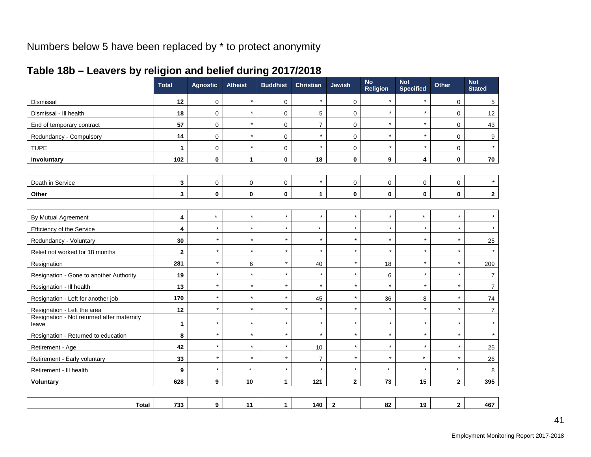|  | Table 18b - Leavers by religion and belief during 2017/2018 |  |
|--|-------------------------------------------------------------|--|
|--|-------------------------------------------------------------|--|

|                                                     | <b>Total</b> | <b>Agnostic</b> | <b>Atheist</b> | <b>Buddhist</b> | <b>Christian</b> | <b>Jewish</b>           | <b>No</b><br><b>Religion</b> | <b>Not</b><br><b>Specified</b> | Other                   | <b>Not</b><br><b>Stated</b> |
|-----------------------------------------------------|--------------|-----------------|----------------|-----------------|------------------|-------------------------|------------------------------|--------------------------------|-------------------------|-----------------------------|
| Dismissal                                           | 12           | $\pmb{0}$       | $\star$        | 0               | $\star$          | 0                       | $\star$                      | $\star$                        | 0                       | $\sqrt{5}$                  |
| Dismissal - III health                              | 18           | $\pmb{0}$       | $\star$        | 0               | 5                | 0                       | $\star$                      | $\star$                        | 0                       | 12                          |
| End of temporary contract                           | 57           | $\mathbf 0$     | $\star$        | $\Omega$        | $\overline{7}$   | $\overline{0}$          | $\star$                      | $\star$                        | $\mathbf 0$             | 43                          |
| Redundancy - Compulsory                             | 14           | $\mathbf 0$     | $\star$        | $\pmb{0}$       | $\star$          | 0                       | $\star$                      | $\star$                        | 0                       | 9                           |
| <b>TUPE</b>                                         | $\mathbf{1}$ | $\mathbf 0$     | $\star$        | $\mathbf 0$     | $\star$          | $\mathbf 0$             | $\star$                      | $\star$                        | $\mathbf 0$             | $\star$                     |
| Involuntary                                         | 102          | $\mathbf 0$     | $\mathbf{1}$   | $\mathbf 0$     | 18               | 0                       | 9                            | 4                              | 0                       | 70                          |
|                                                     |              |                 |                |                 |                  |                         |                              |                                |                         |                             |
| Death in Service                                    | 3            | $\mathbf 0$     | $\mathbf 0$    | 0               | $\star$          | $\mathbf 0$             | $\mathbf 0$                  | 0                              | 0                       | $\star$                     |
| Other                                               | 3            | $\bf{0}$        | $\mathbf 0$    | $\mathbf 0$     | $\mathbf{1}$     | 0                       | $\bf{0}$                     | 0                              | $\bf{0}$                | $\mathbf{2}$                |
|                                                     |              |                 |                |                 |                  |                         |                              |                                |                         |                             |
| By Mutual Agreement                                 | 4            | $\star$         | $\star$        | $\star$         | $\star$          | $\star$                 | $\star$                      | $\star$                        | $\star$                 | $\star$                     |
| Efficiency of the Service                           | 4            | $\star$         | $\star$        | $\star$         | $\star$          | $\star$                 | $\star$                      | $\star$                        | $\star$                 | $\star$                     |
| Redundancy - Voluntary                              | 30           | $\star$         | $\star$        | $\star$         | $\star$          | $\star$                 | $\star$                      | $^\star$                       | $\star$                 | 25                          |
| Relief not worked for 18 months                     | $\mathbf{2}$ | $\star$         | $\star$        | $\star$         | $\star$          | $\star$                 | $\star$                      | $\star$                        | $\star$                 |                             |
| Resignation                                         | 281          | $\star$         | 6              | $\star$         | 40               | $\star$                 | 18                           | $\star$                        | $\star$                 | 209                         |
| Resignation - Gone to another Authority             | 19           | $\star$         | $\star$        | $\star$         | $\star$          | $\star$                 | 6                            | $\star$                        | $\star$                 | $\overline{7}$              |
| Resignation - Ill health                            | 13           | $\star$         | $\star$        | $\star$         | $\star$          | $\star$                 | $\star$                      | $^\star$                       | $\star$                 | $\overline{7}$              |
| Resignation - Left for another job                  | 170          | $\star$         | $\star$        | $\star$         | 45               | $\star$                 | 36                           | 8                              | $\star$                 | 74                          |
| Resignation - Left the area                         | $12$         | $\star$         | $\star$        | $\star$         | $\star$          | $\star$                 | $\star$                      | $\star$                        | $\star$                 | $\overline{7}$              |
| Resignation - Not returned after maternity<br>leave | $\mathbf{1}$ | $\star$         | $\star$        | $\star$         | $\star$          | $\star$                 | $\star$                      | $\star$                        | $\star$                 | $\star$                     |
| Resignation - Returned to education                 | 8            | $\star$         | $\star$        | $\star$         | $\star$          | $\star$                 | $\star$                      | $\star$                        | $\star$                 | $\star$                     |
| Retirement - Age                                    | 42           | $\star$         | $\star$        | $\star$         | 10               | $\star$                 | $\star$                      | $\star$                        | $\star$                 | 25                          |
| Retirement - Early voluntary                        | 33           | $\star$         | $\star$        | $\star$         | 7                | $\star$                 | $\star$                      | $^\star$                       | $\star$                 | 26                          |
| Retirement - Ill health                             | 9            | $\star$         | $\star$        | $\star$         | $\star$          | $\star$                 | $\star$                      |                                | $\star$                 | 8                           |
| Voluntary                                           | 628          | 9               | 10             | $\mathbf{1}$    | 121              | $\overline{\mathbf{2}}$ | 73                           | 15                             | $\overline{\mathbf{2}}$ | 395                         |
|                                                     |              |                 |                |                 |                  |                         |                              |                                |                         |                             |
| <b>Total</b>                                        | 733          | 9               | 11             | $\mathbf{1}$    | 140              | $\mathbf{2}$            | 82                           | 19                             | $\mathbf{2}$            | 467                         |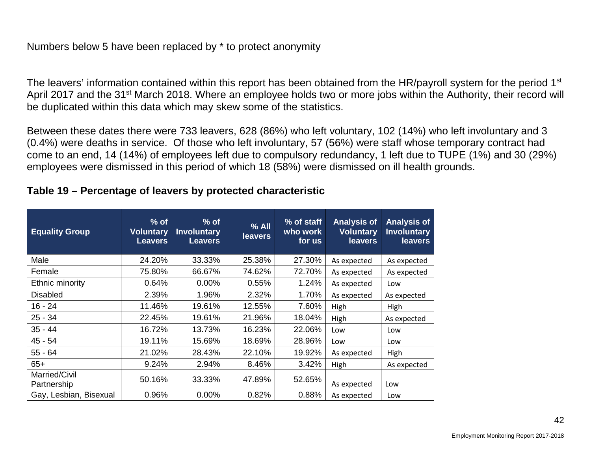#### Numbers below 5 have been replaced by \* to protect anonymity

The leavers' information contained within this report has been obtained from the HR/payroll system for the period 1<sup>st</sup> April 2017 and the 31<sup>st</sup> March 2018. Where an employee holds two or more jobs within the Authority, their record will be duplicated within this data which may skew some of the statistics.

Between these dates there were 733 leavers, 628 (86%) who left voluntary, 102 (14%) who left involuntary and 3 (0.4%) were deaths in service. Of those who left involuntary, 57 (56%) were staff whose temporary contract had come to an end, 14 (14%) of employees left due to compulsory redundancy, 1 left due to TUPE (1%) and 30 (29%) employees were dismissed in this period of which 18 (58%) were dismissed on ill health grounds.

#### **Table 19 – Percentage of leavers by protected characteristic**

| <b>Equality Group</b>        | $%$ of<br><b>Voluntary</b><br><b>Leavers</b> | $%$ of<br><b>Involuntary</b><br><b>Leavers</b> | $%$ All<br><b>leavers</b> | % of staff<br>who work<br>for us | <b>Analysis of</b><br><b>Voluntary</b><br><b>leavers</b> | <b>Analysis of</b><br><b>Involuntary</b><br><b>leavers</b> |
|------------------------------|----------------------------------------------|------------------------------------------------|---------------------------|----------------------------------|----------------------------------------------------------|------------------------------------------------------------|
| Male                         | 24.20%                                       | 33.33%                                         | 25.38%                    | 27.30%                           | As expected                                              | As expected                                                |
| Female                       | 75.80%                                       | 66.67%                                         | 74.62%                    | 72.70%                           | As expected                                              | As expected                                                |
| Ethnic minority              | 0.64%                                        | $0.00\%$                                       | 0.55%                     | 1.24%                            | As expected                                              | Low                                                        |
| <b>Disabled</b>              | 2.39%                                        | 1.96%                                          | 2.32%                     | 1.70%                            | As expected                                              | As expected                                                |
| $16 - 24$                    | 11.46%                                       | 19.61%                                         | 12.55%                    | 7.60%                            | High                                                     | High                                                       |
| $25 - 34$                    | 22.45%                                       | 19.61%                                         | 21.96%                    | 18.04%                           | High                                                     | As expected                                                |
| $35 - 44$                    | 16.72%                                       | 13.73%                                         | 16.23%                    | 22.06%                           | Low                                                      | Low                                                        |
| $45 - 54$                    | 19.11%                                       | 15.69%                                         | 18.69%                    | 28.96%                           | Low                                                      | Low                                                        |
| $55 - 64$                    | 21.02%                                       | 28.43%                                         | 22.10%                    | 19.92%                           | As expected                                              | High                                                       |
| $65+$                        | 9.24%                                        | 2.94%                                          | 8.46%                     | 3.42%                            | High                                                     | As expected                                                |
| Married/Civil<br>Partnership | 50.16%                                       | 33.33%                                         | 47.89%                    | 52.65%                           | As expected                                              | Low                                                        |
| Gay, Lesbian, Bisexual       | 0.96%                                        | $0.00\%$                                       | 0.82%                     | 0.88%                            | As expected                                              | Low                                                        |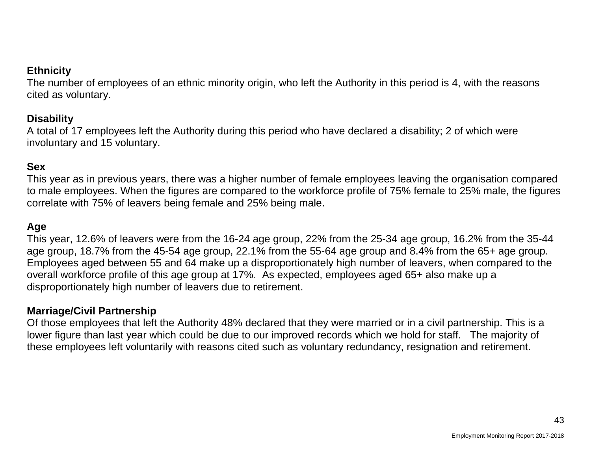#### **Ethnicity**

The number of employees of an ethnic minority origin, who left the Authority in this period is 4, with the reasons cited as voluntary.

#### **Disability**

A total of 17 employees left the Authority during this period who have declared a disability; 2 of which were involuntary and 15 voluntary.

#### **Sex**

This year as in previous years, there was a higher number of female employees leaving the organisation compared to male employees. When the figures are compared to the workforce profile of 75% female to 25% male, the figures correlate with 75% of leavers being female and 25% being male.

#### **Age**

This year, 12.6% of leavers were from the 16-24 age group, 22% from the 25-34 age group, 16.2% from the 35-44 age group, 18.7% from the 45-54 age group, 22.1% from the 55-64 age group and 8.4% from the 65+ age group. Employees aged between 55 and 64 make up a disproportionately high number of leavers, when compared to the overall workforce profile of this age group at 17%. As expected, employees aged 65+ also make up a disproportionately high number of leavers due to retirement.

#### **Marriage/Civil Partnership**

Of those employees that left the Authority 48% declared that they were married or in a civil partnership. This is a lower figure than last year which could be due to our improved records which we hold for staff. The majority of these employees left voluntarily with reasons cited such as voluntary redundancy, resignation and retirement.